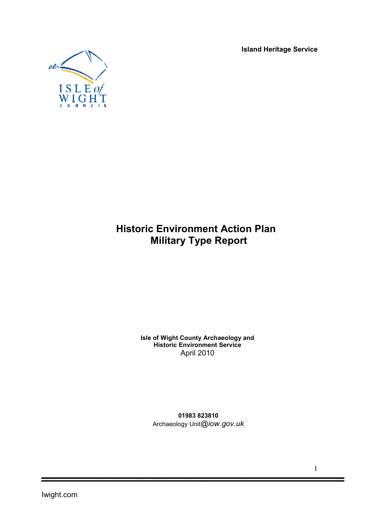Island Heritage Service



# Historic Environment Action Plan Military Type Report

Isle of Wight County Archaeology and Historic Environment Service April 2010

01983 823810 Archaeology Unit*@iow.gov.uk*

1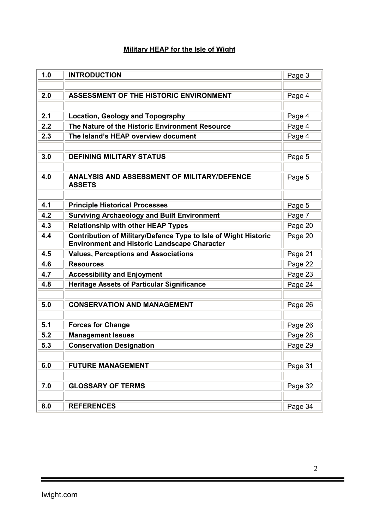## Military HEAP for the Isle of Wight

| 1.0 | <b>INTRODUCTION</b>                                                                                                    | Page 3  |
|-----|------------------------------------------------------------------------------------------------------------------------|---------|
|     |                                                                                                                        |         |
| 2.0 | <b>ASSESSMENT OF THE HISTORIC ENVIRONMENT</b>                                                                          | Page 4  |
|     |                                                                                                                        |         |
| 2.1 | <b>Location, Geology and Topography</b>                                                                                | Page 4  |
| 2.2 | The Nature of the Historic Environment Resource                                                                        | Page 4  |
| 2.3 | The Island's HEAP overview document                                                                                    | Page 4  |
|     |                                                                                                                        |         |
| 3.0 | <b>DEFINING MILITARY STATUS</b>                                                                                        | Page 5  |
|     |                                                                                                                        |         |
| 4.0 | <b>ANALYSIS AND ASSESSMENT OF MILITARY/DEFENCE</b>                                                                     | Page 5  |
|     | <b>ASSETS</b>                                                                                                          |         |
| 4.1 | <b>Principle Historical Processes</b>                                                                                  |         |
| 4.2 | <b>Surviving Archaeology and Built Environment</b>                                                                     | Page 5  |
| 4.3 | <b>Relationship with other HEAP Types</b>                                                                              | Page 7  |
| 4.4 |                                                                                                                        | Page 20 |
|     | Contribution of Military/Defence Type to Isle of Wight Historic<br><b>Environment and Historic Landscape Character</b> | Page 20 |
| 4.5 | <b>Values, Perceptions and Associations</b>                                                                            | Page 21 |
| 4.6 | <b>Resources</b>                                                                                                       | Page 22 |
| 4.7 | <b>Accessibility and Enjoyment</b>                                                                                     | Page 23 |
| 4.8 | <b>Heritage Assets of Particular Significance</b>                                                                      | Page 24 |
|     |                                                                                                                        |         |
| 5.0 | <b>CONSERVATION AND MANAGEMENT</b>                                                                                     | Page 26 |
|     |                                                                                                                        |         |
| 5.1 | <b>Forces for Change</b>                                                                                               | Page 26 |
| 5.2 | <b>Management Issues</b>                                                                                               | Page 28 |
| 5.3 | <b>Conservation Designation</b>                                                                                        | Page 29 |
|     |                                                                                                                        |         |
| 6.0 | <b>FUTURE MANAGEMENT</b>                                                                                               | Page 31 |
|     |                                                                                                                        |         |
| 7.0 | <b>GLOSSARY OF TERMS</b>                                                                                               | Page 32 |
|     |                                                                                                                        |         |
| 8.0 | <b>REFERENCES</b>                                                                                                      | Page 34 |

t

E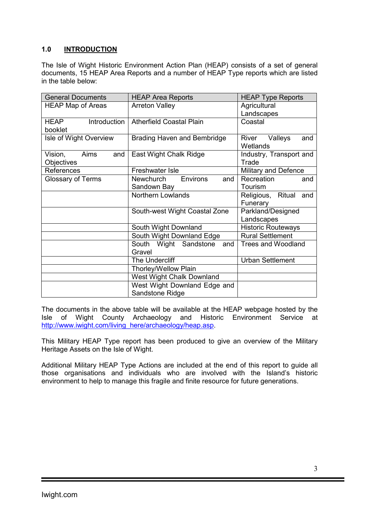## 1.0 INTRODUCTION

The Isle of Wight Historic Environment Action Plan (HEAP) consists of a set of general documents, 15 HEAP Area Reports and a number of HEAP Type reports which are listed in the table below:

| <b>General Documents</b>                    | <b>HEAP Area Reports</b>                        | <b>HEAP Type Reports</b>            |  |  |
|---------------------------------------------|-------------------------------------------------|-------------------------------------|--|--|
| <b>HEAP Map of Areas</b>                    | <b>Arreton Valley</b>                           | Agricultural<br>Landscapes          |  |  |
| Introduction<br>HEAP<br>booklet             | <b>Atherfield Coastal Plain</b>                 | Coastal                             |  |  |
| Isle of Wight Overview                      | Brading Haven and Bembridge                     | Valleys<br>River<br>and<br>Wetlands |  |  |
| Aims<br>Vision,<br>and<br><b>Objectives</b> | East Wight Chalk Ridge                          | Industry, Transport and<br>Trade    |  |  |
| References                                  | <b>Freshwater Isle</b>                          | Military and Defence                |  |  |
| <b>Glossary of Terms</b>                    | Environs<br>Newchurch<br>and<br>Sandown Bay     | Recreation<br>and<br>Tourism        |  |  |
|                                             | Northern Lowlands                               | Religious, Ritual and<br>Funerary   |  |  |
|                                             | South-west Wight Coastal Zone                   | Parkland/Designed<br>Landscapes     |  |  |
|                                             | South Wight Downland                            | <b>Historic Routeways</b>           |  |  |
|                                             | South Wight Downland Edge                       | <b>Rural Settlement</b>             |  |  |
|                                             | South Wight Sandstone<br>and<br>Gravel          | <b>Trees and Woodland</b>           |  |  |
|                                             | The Undercliff                                  | <b>Urban Settlement</b>             |  |  |
|                                             | Thorley/Wellow Plain                            |                                     |  |  |
|                                             | West Wight Chalk Downland                       |                                     |  |  |
|                                             | West Wight Downland Edge and<br>Sandstone Ridge |                                     |  |  |

The documents in the above table will be available at the HEAP webpage hosted by the Isle of Wight County Archaeology and Historic Environment Service at http://www.iwight.com/living\_here/archaeology/heap.asp.

This Military HEAP Type report has been produced to give an overview of the Military Heritage Assets on the Isle of Wight.

Additional Military HEAP Type Actions are included at the end of this report to guide all those organisations and individuals who are involved with the Island's historic environment to help to manage this fragile and finite resource for future generations.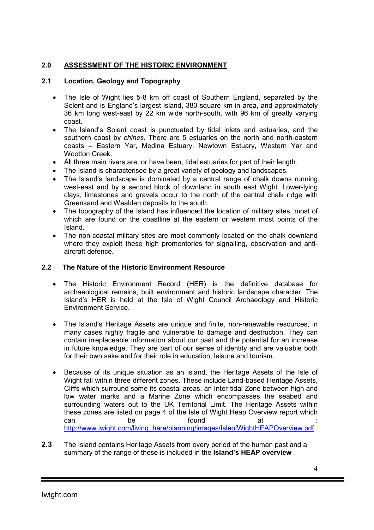## 2.0 ASSESSMENT OF THE HISTORIC ENVIRONMENT

## 2.1 Location, Geology and Topography

- The Isle of Wight lies 5-8 km off coast of Southern England, separated by the Solent and is England's largest island, 380 square km in area, and approximately 36 km long west-east by 22 km wide north-south, with 96 km of greatly varying coast.
- The Island's Solent coast is punctuated by tidal inlets and estuaries, and the southern coast by *chines*. There are 5 estuaries on the north and north-eastern coasts – Eastern Yar, Medina Estuary, Newtown Estuary, Western Yar and Wootton Creek.
- All three main rivers are, or have been, tidal estuaries for part of their length.
- The Island is characterised by a great variety of geology and landscapes.
- The Island's landscape is dominated by a central range of chalk downs running west-east and by a second block of downland in south east Wight. Lower-lying clays, limestones and gravels occur to the north of the central chalk ridge with Greensand and Wealden deposits to the south.
- The topography of the Island has influenced the location of military sites, most of which are found on the coastline at the eastern or western most points of the Island.
- The non-coastal military sites are most commonly located on the chalk downland where they exploit these high promontories for signalling, observation and antiaircraft defence.

#### 2.2 The Nature of the Historic Environment Resource

- The Historic Environment Record (HER) is the definitive database for archaeological remains, built environment and historic landscape character. The Island's HER is held at the Isle of Wight Council Archaeology and Historic Environment Service.
- The Island's Heritage Assets are unique and finite, non-renewable resources, in many cases highly fragile and vulnerable to damage and destruction. They can contain irreplaceable information about our past and the potential for an increase in future knowledge. They are part of our sense of identity and are valuable both for their own sake and for their role in education, leisure and tourism.
- Because of its unique situation as an island, the Heritage Assets of the Isle of Wight fall within three different zones. These include Land-based Heritage Assets, Cliffs which surround some its coastal areas, an Inter-tidal Zone between high and low water marks and a Marine Zone which encompasses the seabed and surrounding waters out to the UK Territorial Limit. The Heritage Assets within these zones are listed on page 4 of the Isle of Wight Heap Overview report which can be found at : http://www.iwight.com/living\_here/planning/images/IsleofWightHEAPOverview.pdf
- 2.3 The Island contains Heritage Assets from every period of the human past and a summary of the range of these is included in the **Island's HEAP overview**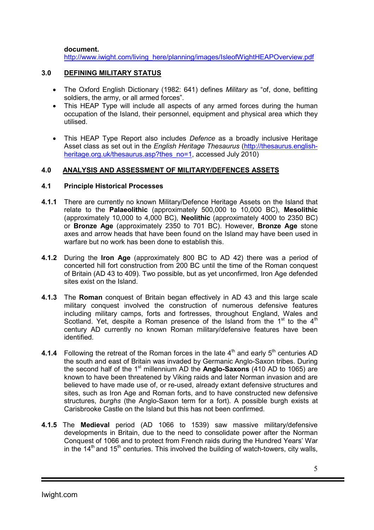document.

http://www.iwight.com/living\_here/planning/images/IsleofWightHEAPOverview.pdf

## 3.0 DEFINING MILITARY STATUS

- The Oxford English Dictionary (1982: 641) defines *Military* as "of, done, befitting soldiers, the army, or all armed forces".
- This HEAP Type will include all aspects of any armed forces during the human occupation of the Island, their personnel, equipment and physical area which they utilised.
- This HEAP Type Report also includes *Defence* as a broadly inclusive Heritage Asset class as set out in the *English Heritage Thesaurus* (http://thesaurus.englishheritage.org.uk/thesaurus.asp?thes\_no=1, accessed July 2010)

## 4.0 ANALYSIS AND ASSESSMENT OF MILITARY/DEFENCES ASSETS

#### 4.1 Principle Historical Processes

- 4.1.1 There are currently no known Military/Defence Heritage Assets on the Island that relate to the Palaeolithic (approximately 500,000 to 10,000 BC), Mesolithic (approximately 10,000 to 4,000 BC), Neolithic (approximately 4000 to 2350 BC) or Bronze Age (approximately 2350 to 701 BC). However, Bronze Age stone axes and arrow heads that have been found on the Island may have been used in warfare but no work has been done to establish this.
- 4.1.2 During the Iron Age (approximately 800 BC to AD 42) there was a period of concerted hill fort construction from 200 BC until the time of the Roman conquest of Britain (AD 43 to 409). Two possible, but as yet unconfirmed, Iron Age defended sites exist on the Island.
- 4.1.3 The Roman conquest of Britain began effectively in AD 43 and this large scale military conquest involved the construction of numerous defensive features including military camps, forts and fortresses, throughout England, Wales and Scotland. Yet, despite a Roman presence of the Island from the  $1<sup>st</sup>$  to the  $4<sup>th</sup>$ century AD currently no known Roman military/defensive features have been identified.
- 4.1.4 Following the retreat of the Roman forces in the late  $4<sup>th</sup>$  and early  $5<sup>th</sup>$  centuries AD the south and east of Britain was invaded by Germanic Anglo-Saxon tribes. During the second half of the  $1<sup>st</sup>$  millennium AD the **Anglo-Saxons** (410 AD to 1065) are known to have been threatened by Viking raids and later Norman invasion and are believed to have made use of, or re-used, already extant defensive structures and sites, such as Iron Age and Roman forts, and to have constructed new defensive structures, *burghs* (the Anglo-Saxon term for a fort). A possible burgh exists at Carisbrooke Castle on the Island but this has not been confirmed.
- 4.1.5 The Medieval period (AD 1066 to 1539) saw massive military/defensive developments in Britain, due to the need to consolidate power after the Norman Conquest of 1066 and to protect from French raids during the Hundred Years' War in the  $14<sup>th</sup>$  and  $15<sup>th</sup>$  centuries. This involved the building of watch-towers, city walls,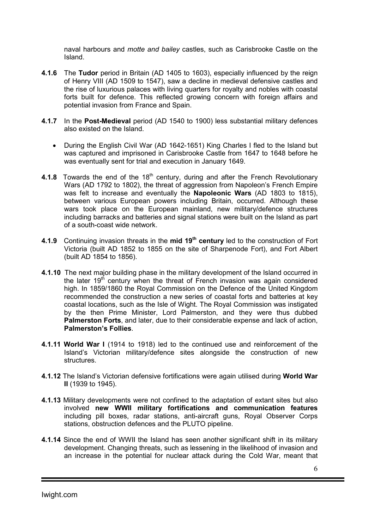naval harbours and *motte and bailey* castles, such as Carisbrooke Castle on the Island.

- 4.1.6 The Tudor period in Britain (AD 1405 to 1603), especially influenced by the reign of Henry VIII (AD 1509 to 1547), saw a decline in medieval defensive castles and the rise of luxurious palaces with living quarters for royalty and nobles with coastal forts built for defence. This reflected growing concern with foreign affairs and potential invasion from France and Spain.
- 4.1.7 In the Post-Medieval period (AD 1540 to 1900) less substantial military defences also existed on the Island.
	- During the English Civil War (AD 1642-1651) King Charles I fled to the Island but was captured and imprisoned in Carisbrooke Castle from 1647 to 1648 before he was eventually sent for trial and execution in January 1649.
- 4.1.8 Towards the end of the  $18<sup>th</sup>$  century, during and after the French Revolutionary Wars (AD 1792 to 1802), the threat of aggression from Napoleon's French Empire was felt to increase and eventually the Napoleonic Wars (AD 1803 to 1815), between various European powers including Britain, occurred. Although these wars took place on the European mainland, new military/defence structures including barracks and batteries and signal stations were built on the Island as part of a south-coast wide network.
- 4.1.9 Continuing invasion threats in the mid 19<sup>th</sup> century led to the construction of Fort Victoria (built AD 1852 to 1855 on the site of Sharpenode Fort), and Fort Albert (built AD 1854 to 1856).
- 4.1.10 The next major building phase in the military development of the Island occurred in the later 19<sup>th</sup> century when the threat of French invasion was again considered high. In 1859/1860 the Royal Commission on the Defence of the United Kingdom recommended the construction a new series of coastal forts and batteries at key coastal locations, such as the Isle of Wight. The Royal Commission was instigated by the then Prime Minister, Lord Palmerston, and they were thus dubbed Palmerston Forts, and later, due to their considerable expense and lack of action, Palmerston's Follies.
- 4.1.11 World War I (1914 to 1918) led to the continued use and reinforcement of the Island's Victorian military/defence sites alongside the construction of new structures.
- 4.1.12 The Island's Victorian defensive fortifications were again utilised during World War II (1939 to 1945).
- 4.1.13 Military developments were not confined to the adaptation of extant sites but also involved new WWII military fortifications and communication features including pill boxes, radar stations, anti-aircraft guns, Royal Observer Corps stations, obstruction defences and the PLUTO pipeline.
- 4.1.14 Since the end of WWII the Island has seen another significant shift in its military development. Changing threats, such as lessening in the likelihood of invasion and an increase in the potential for nuclear attack during the Cold War, meant that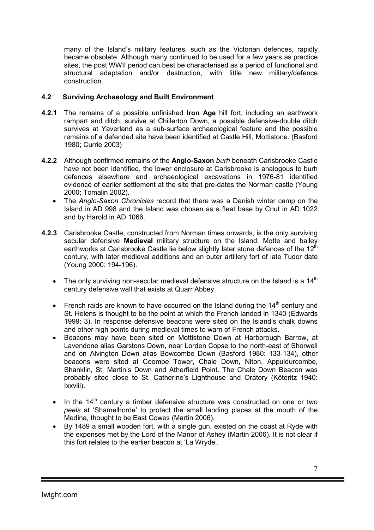many of the Island's military features, such as the Victorian defences, rapidly became obsolete. Although many continued to be used for a few years as practice sites, the post WWII period can best be characterised as a period of functional and structural adaptation and/or destruction, with little new military/defence construction.

## 4.2 Surviving Archaeology and Built Environment

- 4.2.1 The remains of a possible unfinished **Iron Age** hill fort, including an earthwork rampart and ditch, survive at Chillerton Down, a possible defensive-double ditch survives at Yaverland as a sub-surface archaeological feature and the possible remains of a defended site have been identified at Castle Hill, Mottistone. (Basford 1980; Currie 2003)
- 4.2.2 Although confirmed remains of the Anglo-Saxon *burh* beneath Carisbrooke Castle have not been identified, the lower enclosure at Carisbrooke is analogous to burh defences elsewhere and archaeological excavations in 1976-81 identified evidence of earlier settlement at the site that pre-dates the Norman castle (Young 2000; Tomalin 2002).
	- The *Anglo-Saxon Chronicles* record that there was a Danish winter camp on the Island in AD 998 and the Island was chosen as a fleet base by Cnut in AD 1022 and by Harold in AD 1066.
- 4.2.3 Carisbrooke Castle, constructed from Norman times onwards, is the only surviving secular defensive Medieval military structure on the Island. Motte and bailey earthworks at Carisbrooke Castle lie below slightly later stone defences of the  $12<sup>th</sup>$ century, with later medieval additions and an outer artillery fort of late Tudor date (Young 2000: 194-196).
	- The only surviving non-secular medieval defensive structure on the Island is a  $14<sup>th</sup>$ century defensive wall that exists at Quarr Abbey.
	- French raids are known to have occurred on the Island during the  $14<sup>th</sup>$  century and St. Helens is thought to be the point at which the French landed in 1340 (Edwards 1999: 3). In response defensive beacons were sited on the Island's chalk downs and other high points during medieval times to warn of French attacks.
	- Beacons may have been sited on Mottistone Down at Harborough Barrow, at Lavendone alias Garstons Down, near Lorden Copse to the north-east of Shorwell and on Alvington Down alias Bowcombe Down (Basford 1980: 133-134), other beacons were sited at Coombe Tower, Chale Down, Niton, Appuldurcombe, Shanklin, St. Martin's Down and Atherfield Point. The Chale Down Beacon was probably sited close to St. Catherine's Lighthouse and Oratory (Köteritz 1940: Ixxviii).
	- In the  $14<sup>th</sup>$  century a timber defensive structure was constructed on one or two *peels* at 'Shamelhorde' to protect the small landing places at the mouth of the Medina, thought to be East Cowes (Martin 2006).
	- By 1489 a small wooden fort, with a single gun, existed on the coast at Ryde with the expenses met by the Lord of the Manor of Ashey (Martin 2006). It is not clear if this fort relates to the earlier beacon at 'La Wryde'.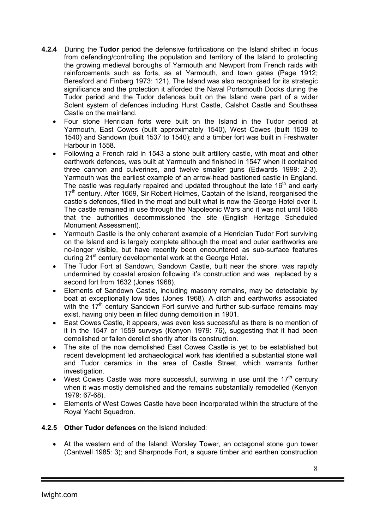- 4.2.4 During the Tudor period the defensive fortifications on the Island shifted in focus from defending/controlling the population and territory of the Island to protecting the growing medieval boroughs of Yarmouth and Newport from French raids with reinforcements such as forts, as at Yarmouth, and town gates (Page 1912; Beresford and Finberg 1973: 121). The Island was also recognised for its strategic significance and the protection it afforded the Naval Portsmouth Docks during the Tudor period and the Tudor defences built on the Island were part of a wider Solent system of defences including Hurst Castle, Calshot Castle and Southsea Castle on the mainland.
	- Four stone Henrician forts were built on the Island in the Tudor period at Yarmouth, East Cowes (built approximately 1540), West Cowes (built 1539 to 1540) and Sandown (built 1537 to 1540); and a timber fort was built in Freshwater Harbour in 1558.
	- Following a French raid in 1543 a stone built artillery castle, with moat and other earthwork defences, was built at Yarmouth and finished in 1547 when it contained three cannon and culverines, and twelve smaller guns (Edwards 1999: 2-3). Yarmouth was the earliest example of an arrow-head bastioned castle in England. The castle was regularly repaired and updated throughout the late 16<sup>th</sup> and early 17<sup>th</sup> century. After 1669, Sir Robert Holmes, Captain of the Island, reorganised the castle's defences, filled in the moat and built what is now the George Hotel over it. The castle remained in use through the Napoleonic Wars and it was not until 1885 that the authorities decommissioned the site (English Heritage Scheduled Monument Assessment).
	- Yarmouth Castle is the only coherent example of a Henrician Tudor Fort surviving on the Island and is largely complete although the moat and outer earthworks are no-longer visible, but have recently been encountered as sub-surface features during 21<sup>st</sup> century developmental work at the George Hotel.
	- The Tudor Fort at Sandown, Sandown Castle, built near the shore, was rapidly undermined by coastal erosion following it's construction and was replaced by a second fort from 1632 (Jones 1968).
	- Elements of Sandown Castle, including masonry remains, may be detectable by boat at exceptionally low tides (Jones 1968). A ditch and earthworks associated with the  $17<sup>th</sup>$  century Sandown Fort survive and further sub-surface remains may exist, having only been in filled during demolition in 1901.
	- East Cowes Castle, it appears, was even less successful as there is no mention of it in the 1547 or 1559 surveys (Kenyon 1979: 76), suggesting that it had been demolished or fallen derelict shortly after its construction.
	- The site of the now demolished East Cowes Castle is yet to be established but recent development led archaeological work has identified a substantial stone wall and Tudor ceramics in the area of Castle Street, which warrants further investigation.
	- West Cowes Castle was more successful, surviving in use until the  $17<sup>th</sup>$  century when it was mostly demolished and the remains substantially remodelled (Kenyon 1979: 67-68).
	- Elements of West Cowes Castle have been incorporated within the structure of the Royal Yacht Squadron.
- 4.2.5 Other Tudor defences on the Island included:
	- At the western end of the Island: Worsley Tower, an octagonal stone gun tower (Cantwell 1985: 3); and Sharpnode Fort, a square timber and earthen construction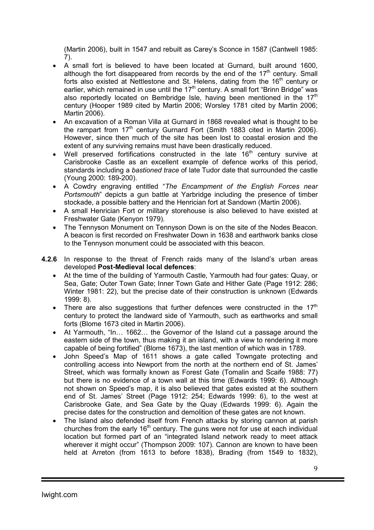(Martin 2006), built in 1547 and rebuilt as Carey's Sconce in 1587 (Cantwell 1985: 7).

- A small fort is believed to have been located at Gurnard, built around 1600, although the fort disappeared from records by the end of the  $17<sup>th</sup>$  century. Small forts also existed at Nettlestone and St. Helens, dating from the  $16<sup>th</sup>$  century or earlier, which remained in use until the  $17<sup>th</sup>$  century. A small fort "Brinn Bridge" was also reportedly located on Bembridge Isle, having been mentioned in the  $17<sup>th</sup>$ century (Hooper 1989 cited by Martin 2006; Worsley 1781 cited by Martin 2006; Martin 2006).
- An excavation of a Roman Villa at Gurnard in 1868 revealed what is thought to be the rampart from 17<sup>th</sup> century Gurnard Fort (Smith 1883 cited in Martin 2006). However, since then much of the site has been lost to coastal erosion and the extent of any surviving remains must have been drastically reduced.
- Well preserved fortifications constructed in the late  $16<sup>th</sup>$  century survive at Carisbrooke Castle as an excellent example of defence works of this period, standards including a *bastioned trace* of late Tudor date that surrounded the castle (Young 2000: 189-200).
- A Cowdry engraving entitled "*The Encampment of the English Forces near Portsmouth*" depicts a gun battle at Yarbridge including the presence of timber stockade, a possible battery and the Henrician fort at Sandown (Martin 2006).
- A small Henrician Fort or military storehouse is also believed to have existed at Freshwater Gate (Kenyon 1979).
- The Tennyson Monument on Tennyson Down is on the site of the Nodes Beacon. A beacon is first recorded on Freshwater Down in 1638 and earthwork banks close to the Tennyson monument could be associated with this beacon.
- 4.2.6 In response to the threat of French raids many of the Island's urban areas developed Post-Medieval local defences:
	- At the time of the building of Yarmouth Castle, Yarmouth had four gates: Quay, or Sea, Gate; Outer Town Gate; Inner Town Gate and Hither Gate (Page 1912: 286; Winter 1981: 22), but the precise date of their construction is unknown (Edwards 1999: 8).
	- There are also suggestions that further defences were constructed in the 17<sup>th</sup> century to protect the landward side of Yarmouth, such as earthworks and small forts (Blome 1673 cited in Martin 2006).
	- At Yarmouth, "In… 1662… the Governor of the Island cut a passage around the eastern side of the town, thus making it an island, with a view to rendering it more capable of being fortified" (Blome 1673), the last mention of which was in 1789.
	- John Speed's Map of 1611 shows a gate called Towngate protecting and controlling access into Newport from the north at the northern end of St. James' Street, which was formally known as Forest Gate (Tomalin and Scaife 1988: 77) but there is no evidence of a town wall at this time (Edwards 1999: 6). Although not shown on Speed's map, it is also believed that gates existed at the southern end of St. James' Street (Page 1912: 254; Edwards 1999: 6), to the west at Carisbrooke Gate, and Sea Gate by the Quay (Edwards 1999: 6). Again the precise dates for the construction and demolition of these gates are not known.
	- The Island also defended itself from French attacks by storing cannon at parish churches from the early  $16<sup>th</sup>$  century. The guns were not for use at each individual location but formed part of an "integrated Island network ready to meet attack wherever it might occur" (Thompson 2009: 107). Cannon are known to have been held at Arreton (from 1613 to before 1838), Brading (from 1549 to 1832),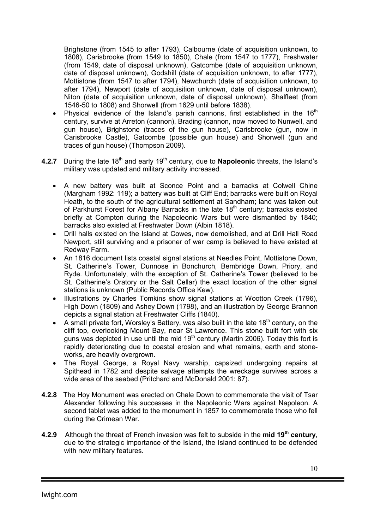Brighstone (from 1545 to after 1793), Calbourne (date of acquisition unknown, to 1808), Carisbrooke (from 1549 to 1850), Chale (from 1547 to 1777), Freshwater (from 1549, date of disposal unknown), Gatcombe (date of acquisition unknown, date of disposal unknown), Godshill (date of acquisition unknown, to after 1777), Mottistone (from 1547 to after 1794), Newchurch (date of acquisition unknown, to after 1794), Newport (date of acquisition unknown, date of disposal unknown), Niton (date of acquisition unknown, date of disposal unknown), Shalfleet (from 1546-50 to 1808) and Shorwell (from 1629 until before 1838).

- Physical evidence of the Island's parish cannons, first established in the  $16<sup>th</sup>$ century, survive at Arreton (cannon), Brading (cannon, now moved to Nunwell, and gun house), Brighstone (traces of the gun house), Carisbrooke (gun, now in Carisbrooke Castle), Gatcombe (possible gun house) and Shorwell (gun and traces of gun house) (Thompson 2009).
- 4.2.7 During the late  $18<sup>th</sup>$  and early  $19<sup>th</sup>$  century, due to **Napoleonic** threats, the Island's military was updated and military activity increased.
	- A new battery was built at Sconce Point and a barracks at Colwell Chine (Margham 1992: 119); a battery was built at Cliff End; barracks were built on Royal Heath, to the south of the agricultural settlement at Sandham; land was taken out of Parkhurst Forest for Albany Barracks in the late 18<sup>th</sup> century; barracks existed briefly at Compton during the Napoleonic Wars but were dismantled by 1840; barracks also existed at Freshwater Down (Albin 1818).
	- Drill halls existed on the Island at Cowes, now demolished, and at Drill Hall Road Newport, still surviving and a prisoner of war camp is believed to have existed at Redway Farm.
	- An 1816 document lists coastal signal stations at Needles Point, Mottistone Down, St. Catherine's Tower, Dunnose in Bonchurch, Bembridge Down, Priory, and Ryde. Unfortunately, with the exception of St. Catherine's Tower (believed to be St. Catherine's Oratory or the Salt Cellar) the exact location of the other signal stations is unknown (Public Records Office Kew).
	- Illustrations by Charles Tomkins show signal stations at Wootton Creek (1796), High Down (1809) and Ashey Down (1798), and an illustration by George Brannon depicts a signal station at Freshwater Cliffs (1840).
	- A small private fort, Worsley's Battery, was also built in the late  $18<sup>th</sup>$  century, on the cliff top, overlooking Mount Bay, near St Lawrence. This stone built fort with six guns was depicted in use until the mid  $19<sup>th</sup>$  century (Martin 2006). Today this fort is rapidly deteriorating due to coastal erosion and what remains, earth and stoneworks, are heavily overgrown.
	- The Royal George, a Royal Navy warship, capsized undergoing repairs at Spithead in 1782 and despite salvage attempts the wreckage survives across a wide area of the seabed (Pritchard and McDonald 2001: 87).
- 4.2.8 The Hoy Monument was erected on Chale Down to commemorate the visit of Tsar Alexander following his successes in the Napoleonic Wars against Napoleon. A second tablet was added to the monument in 1857 to commemorate those who fell during the Crimean War.
- 4.2.9 Although the threat of French invasion was felt to subside in the mid  $19<sup>th</sup>$  century, due to the strategic importance of the Island, the Island continued to be defended with new military features.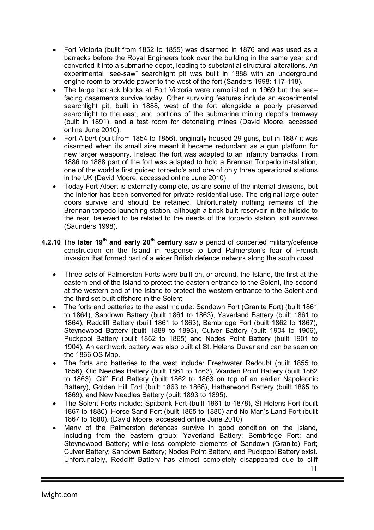- Fort Victoria (built from 1852 to 1855) was disarmed in 1876 and was used as a barracks before the Royal Engineers took over the building in the same year and converted it into a submarine depot, leading to substantial structural alterations. An experimental "see-saw" searchlight pit was built in 1888 with an underground engine room to provide power to the west of the fort (Sanders 1998: 117-118).
- The large barrack blocks at Fort Victoria were demolished in 1969 but the sea– facing casements survive today. Other surviving features include an experimental searchlight pit, built in 1888, west of the fort alongside a poorly preserved searchlight to the east, and portions of the submarine mining depot's tramway (built in 1891), and a test room for detonating mines (David Moore, accessed online June 2010).
- Fort Albert (built from 1854 to 1856), originally housed 29 guns, but in 1887 it was disarmed when its small size meant it became redundant as a gun platform for new larger weaponry. Instead the fort was adapted to an infantry barracks. From 1886 to 1888 part of the fort was adapted to hold a Brennan Torpedo installation, one of the world's first guided torpedo's and one of only three operational stations in the UK (David Moore, accessed online June 2010).
- Today Fort Albert is externally complete, as are some of the internal divisions, but the interior has been converted for private residential use. The original large outer doors survive and should be retained. Unfortunately nothing remains of the Brennan torpedo launching station, although a brick built reservoir in the hillside to the rear, believed to be related to the needs of the torpedo station, still survives (Saunders 1998).
- 4.2.10 The later 19<sup>th</sup> and early 20<sup>th</sup> century saw a period of concerted military/defence construction on the Island in response to Lord Palmerston's fear of French invasion that formed part of a wider British defence network along the south coast.
	- Three sets of Palmerston Forts were built on, or around, the Island, the first at the eastern end of the Island to protect the eastern entrance to the Solent, the second at the western end of the Island to protect the western entrance to the Solent and the third set built offshore in the Solent.
	- The forts and batteries to the east include: Sandown Fort (Granite Fort) (built 1861 to 1864), Sandown Battery (built 1861 to 1863), Yaverland Battery (built 1861 to 1864), Redcliff Battery (built 1861 to 1863), Bembridge Fort (built 1862 to 1867), Steynewood Battery (built 1889 to 1893), Culver Battery (built 1904 to 1906), Puckpool Battery (built 1862 to 1865) and Nodes Point Battery (built 1901 to 1904). An earthwork battery was also built at St. Helens Duver and can be seen on the 1866 OS Map.
	- The forts and batteries to the west include: Freshwater Redoubt (built 1855 to 1856), Old Needles Battery (built 1861 to 1863), Warden Point Battery (built 1862 to 1863), Cliff End Battery (built 1862 to 1863 on top of an earlier Napoleonic Battery), Golden Hill Fort (built 1863 to 1868), Hatherwood Battery (built 1865 to 1869), and New Needles Battery (built 1893 to 1895).
	- The Solent Forts include: Spitbank Fort (built 1861 to 1878), St Helens Fort (built 1867 to 1880), Horse Sand Fort (built 1865 to 1880) and No Man's Land Fort (built 1867 to 1880). (David Moore, accessed online June 2010)
	- Many of the Palmerston defences survive in good condition on the Island, including from the eastern group: Yaverland Battery; Bembridge Fort; and Steynewood Battery; while less complete elements of Sandown (Granite) Fort; Culver Battery; Sandown Battery; Nodes Point Battery, and Puckpool Battery exist. Unfortunately, Redcliff Battery has almost completely disappeared due to cliff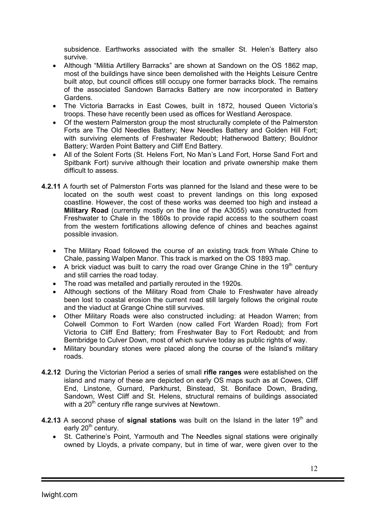subsidence. Earthworks associated with the smaller St. Helen's Battery also survive.

- Although "Militia Artillery Barracks" are shown at Sandown on the OS 1862 map, most of the buildings have since been demolished with the Heights Leisure Centre built atop, but council offices still occupy one former barracks block. The remains of the associated Sandown Barracks Battery are now incorporated in Battery Gardens.
- The Victoria Barracks in East Cowes, built in 1872, housed Queen Victoria's troops. These have recently been used as offices for Westland Aerospace.
- Of the western Palmerston group the most structurally complete of the Palmerston Forts are The Old Needles Battery; New Needles Battery and Golden Hill Fort; with surviving elements of Freshwater Redoubt; Hatherwood Battery; Bouldnor Battery; Warden Point Battery and Cliff End Battery.
- All of the Solent Forts (St. Helens Fort, No Man's Land Fort, Horse Sand Fort and Spitbank Fort) survive although their location and private ownership make them difficult to assess.
- 4.2.11 A fourth set of Palmerston Forts was planned for the Island and these were to be located on the south west coast to prevent landings on this long exposed coastline. However, the cost of these works was deemed too high and instead a Military Road (currently mostly on the line of the A3055) was constructed from Freshwater to Chale in the 1860s to provide rapid access to the southern coast from the western fortifications allowing defence of chines and beaches against possible invasion.
	- The Military Road followed the course of an existing track from Whale Chine to Chale, passing Walpen Manor. This track is marked on the OS 1893 map.
	- A brick viaduct was built to carry the road over Grange Chine in the  $19<sup>th</sup>$  century and still carries the road today.
	- The road was metalled and partially rerouted in the 1920s.
	- Although sections of the Military Road from Chale to Freshwater have already been lost to coastal erosion the current road still largely follows the original route and the viaduct at Grange Chine still survives.
	- Other Military Roads were also constructed including: at Headon Warren; from Colwell Common to Fort Warden (now called Fort Warden Road); from Fort Victoria to Cliff End Battery; from Freshwater Bay to Fort Redoubt; and from Bembridge to Culver Down, most of which survive today as public rights of way.
	- Military boundary stones were placed along the course of the Island's military roads.
- 4.2.12 During the Victorian Period a series of small rifle ranges were established on the island and many of these are depicted on early OS maps such as at Cowes, Cliff End, Linstone, Gurnard, Parkhurst, Binstead, St. Boniface Down, Brading, Sandown, West Cliff and St. Helens, structural remains of buildings associated with a  $20<sup>th</sup>$  century rifle range survives at Newtown.
- 4.2.13 A second phase of signal stations was built on the Island in the later 19<sup>th</sup> and early  $20<sup>th</sup>$  century.
	- St. Catherine's Point, Yarmouth and The Needles signal stations were originally owned by Lloyds, a private company, but in time of war, were given over to the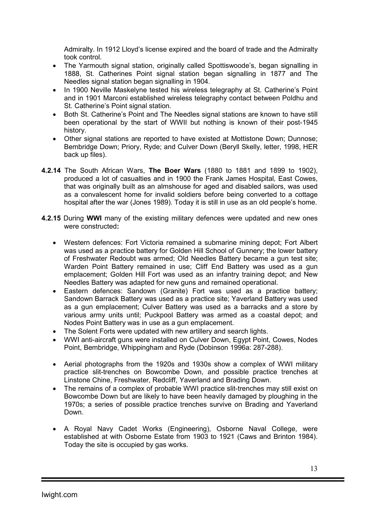Admiralty. In 1912 Lloyd's license expired and the board of trade and the Admiralty took control.

- The Yarmouth signal station, originally called Spottiswoode's, began signalling in 1888, St. Catherines Point signal station began signalling in 1877 and The Needles signal station began signalling in 1904.
- In 1900 Neville Maskelyne tested his wireless telegraphy at St. Catherine's Point and in 1901 Marconi established wireless telegraphy contact between Poldhu and St. Catherine's Point signal station.
- Both St. Catherine's Point and The Needles signal stations are known to have still been operational by the start of WWII but nothing is known of their post-1945 history.
- Other signal stations are reported to have existed at Mottistone Down; Dunnose; Bembridge Down; Priory, Ryde; and Culver Down (Beryll Skelly, letter, 1998, HER back up files).
- 4.2.14 The South African Wars, The Boer Wars (1880 to 1881 and 1899 to 1902), produced a lot of casualties and in 1900 the Frank James Hospital, East Cowes, that was originally built as an almshouse for aged and disabled sailors, was used as a convalescent home for invalid soldiers before being converted to a cottage hospital after the war (Jones 1989). Today it is still in use as an old people's home.
- 4.2.15 During WWI many of the existing military defences were updated and new ones were constructed:
	- Western defences: Fort Victoria remained a submarine mining depot; Fort Albert was used as a practice battery for Golden Hill School of Gunnery; the lower battery of Freshwater Redoubt was armed; Old Needles Battery became a gun test site; Warden Point Battery remained in use; Cliff End Battery was used as a gun emplacement; Golden Hill Fort was used as an infantry training depot; and New Needles Battery was adapted for new guns and remained operational.
	- Eastern defences: Sandown (Granite) Fort was used as a practice battery; Sandown Barrack Battery was used as a practice site; Yaverland Battery was used as a gun emplacement; Culver Battery was used as a barracks and a store by various army units until; Puckpool Battery was armed as a coastal depot; and Nodes Point Battery was in use as a gun emplacement.
	- The Solent Forts were updated with new artillery and search lights.
	- WWI anti-aircraft guns were installed on Culver Down, Egypt Point, Cowes, Nodes Point, Bembridge, Whippingham and Ryde (Dobinson 1996a: 287-288).
	- Aerial photographs from the 1920s and 1930s show a complex of WWI military practice slit-trenches on Bowcombe Down, and possible practice trenches at Linstone Chine, Freshwater, Redcliff, Yaverland and Brading Down.
	- The remains of a complex of probable WWI practice slit-trenches may still exist on Bowcombe Down but are likely to have been heavily damaged by ploughing in the 1970s; a series of possible practice trenches survive on Brading and Yaverland Down.
	- A Royal Navy Cadet Works (Engineering), Osborne Naval College, were established at with Osborne Estate from 1903 to 1921 (Caws and Brinton 1984). Today the site is occupied by gas works.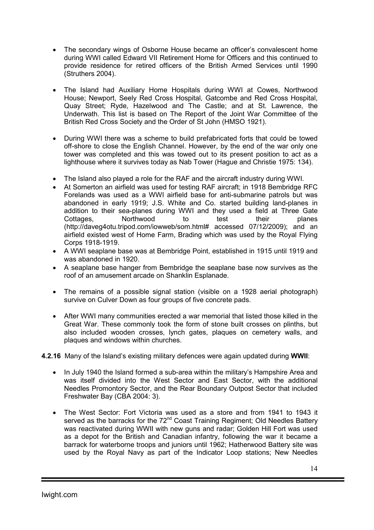- The secondary wings of Osborne House became an officer's convalescent home during WWI called Edward VII Retirement Home for Officers and this continued to provide residence for retired officers of the British Armed Services until 1990 (Struthers 2004).
- The Island had Auxiliary Home Hospitals during WWI at Cowes, Northwood House; Newport, Seely Red Cross Hospital, Gatcombe and Red Cross Hospital, Quay Street; Ryde, Hazelwood and The Castle; and at St. Lawrence, the Underwath. This list is based on The Report of the Joint War Committee of the British Red Cross Society and the Order of St John (HMSO 1921).
- During WWI there was a scheme to build prefabricated forts that could be towed off-shore to close the English Channel. However, by the end of the war only one tower was completed and this was towed out to its present position to act as a lighthouse where it survives today as Nab Tower (Hague and Christie 1975: 134).
- The Island also played a role for the RAF and the aircraft industry during WWI.
- At Somerton an airfield was used for testing RAF aircraft; in 1918 Bembridge RFC Forelands was used as a WWI airfield base for anti-submarine patrols but was abandoned in early 1919; J.S. White and Co. started building land-planes in addition to their sea-planes during WWI and they used a field at Three Gate Cottages, Northwood to test their planes (http://daveg4otu.tripod.com/iowweb/som.html# accessed 07/12/2009); and an airfield existed west of Home Farm, Brading which was used by the Royal Flying Corps 1918-1919.
- A WWI seaplane base was at Bembridge Point, established in 1915 until 1919 and was abandoned in 1920.
- A seaplane base hanger from Bembridge the seaplane base now survives as the roof of an amusement arcade on Shanklin Esplanade.
- The remains of a possible signal station (visible on a 1928 aerial photograph) survive on Culver Down as four groups of five concrete pads.
- After WWI many communities erected a war memorial that listed those killed in the Great War. These commonly took the form of stone built crosses on plinths, but also included wooden crosses, lynch gates, plaques on cemetery walls, and plaques and windows within churches.

4.2.16 Many of the Island's existing military defences were again updated during WWII:

- In July 1940 the Island formed a sub-area within the military's Hampshire Area and was itself divided into the West Sector and East Sector, with the additional Needles Promontory Sector, and the Rear Boundary Outpost Sector that included Freshwater Bay (CBA 2004: 3).
- The West Sector: Fort Victoria was used as a store and from 1941 to 1943 it served as the barracks for the 72<sup>nd</sup> Coast Training Regiment; Old Needles Battery was reactivated during WWII with new guns and radar; Golden Hill Fort was used as a depot for the British and Canadian infantry, following the war it became a barrack for waterborne troops and juniors until 1962; Hatherwood Battery site was used by the Royal Navy as part of the Indicator Loop stations; New Needles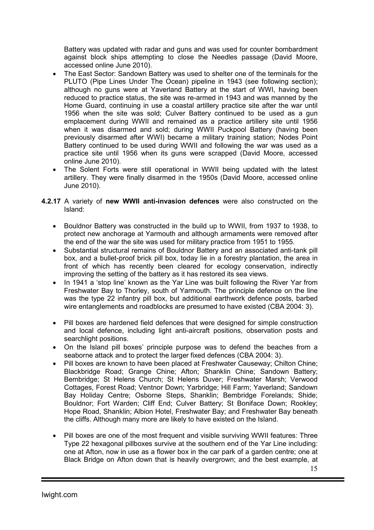Battery was updated with radar and guns and was used for counter bombardment against block ships attempting to close the Needles passage (David Moore, accessed online June 2010).

- The East Sector: Sandown Battery was used to shelter one of the terminals for the PLUTO (Pipe Lines Under The Ocean) pipeline in 1943 (see following section); although no guns were at Yaverland Battery at the start of WWI, having been reduced to practice status, the site was re-armed in 1943 and was manned by the Home Guard, continuing in use a coastal artillery practice site after the war until 1956 when the site was sold; Culver Battery continued to be used as a gun emplacement during WWII and remained as a practice artillery site until 1956 when it was disarmed and sold; during WWII Puckpool Battery (having been previously disarmed after WWI) became a military training station; Nodes Point Battery continued to be used during WWII and following the war was used as a practice site until 1956 when its guns were scrapped (David Moore, accessed online June 2010).
- The Solent Forts were still operational in WWII being updated with the latest artillery. They were finally disarmed in the 1950s (David Moore, accessed online June 2010).
- **4.2.17** A variety of new WWII anti-invasion defences were also constructed on the Island:
	- Bouldnor Battery was constructed in the build up to WWII, from 1937 to 1938, to protect new anchorage at Yarmouth and although armaments were removed after the end of the war the site was used for military practice from 1951 to 1955.
	- Substantial structural remains of Bouldnor Battery and an associated anti-tank pill box, and a bullet-proof brick pill box, today lie in a forestry plantation, the area in front of which has recently been cleared for ecology conservation, indirectly improving the setting of the battery as it has restored its sea views.
	- In 1941 a 'stop line' known as the Yar Line was built following the River Yar from Freshwater Bay to Thorley, south of Yarmouth. The principle defence on the line was the type 22 infantry pill box, but additional earthwork defence posts, barbed wire entanglements and roadblocks are presumed to have existed (CBA 2004: 3).
	- Pill boxes are hardened field defences that were designed for simple construction and local defence, including light anti-aircraft positions, observation posts and searchlight positions.
	- On the Island pill boxes' principle purpose was to defend the beaches from a seaborne attack and to protect the larger fixed defences (CBA 2004: 3).
	- Pill boxes are known to have been placed at Freshwater Causeway; Chilton Chine; Blackbridge Road; Grange Chine; Afton; Shanklin Chine; Sandown Battery; Bembridge; St Helens Church; St Helens Duver; Freshwater Marsh; Verwood Cottages, Forest Road; Ventnor Down; Yarbridge; Hill Farm; Yaverland; Sandown Bay Holiday Centre; Osborne Steps, Shanklin; Bembridge Forelands; Shide; Bouldnor; Fort Warden; Cliff End; Culver Battery; St Boniface Down; Rookley; Hope Road, Shanklin; Albion Hotel, Freshwater Bay; and Freshwater Bay beneath the cliffs. Although many more are likely to have existed on the Island.
	- Pill boxes are one of the most frequent and visible surviving WWII features: Three Type 22 hexagonal pillboxes survive at the southern end of the Yar Line including: one at Afton, now in use as a flower box in the car park of a garden centre; one at Black Bridge on Afton down that is heavily overgrown; and the best example, at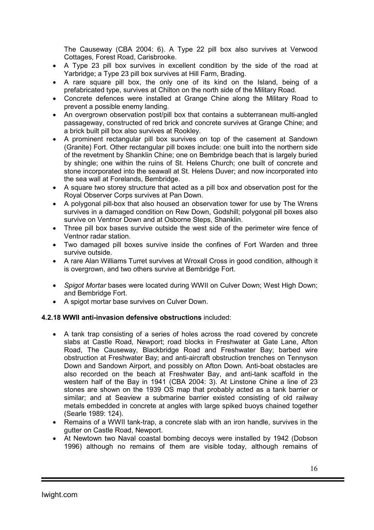The Causeway (CBA 2004: 6). A Type 22 pill box also survives at Verwood Cottages, Forest Road, Carisbrooke.

- A Type 23 pill box survives in excellent condition by the side of the road at Yarbridge; a Type 23 pill box survives at Hill Farm, Brading.
- A rare square pill box, the only one of its kind on the Island, being of a prefabricated type, survives at Chilton on the north side of the Military Road.
- Concrete defences were installed at Grange Chine along the Military Road to prevent a possible enemy landing.
- An overgrown observation post/pill box that contains a subterranean multi-angled passageway, constructed of red brick and concrete survives at Grange Chine; and a brick built pill box also survives at Rookley.
- A prominent rectangular pill box survives on top of the casement at Sandown (Granite) Fort. Other rectangular pill boxes include: one built into the northern side of the revetment by Shanklin Chine; one on Bembridge beach that is largely buried by shingle; one within the ruins of St. Helens Church; one built of concrete and stone incorporated into the seawall at St. Helens Duver; and now incorporated into the sea wall at Forelands, Bembridge.
- A square two storey structure that acted as a pill box and observation post for the Royal Observer Corps survives at Pan Down.
- A polygonal pill-box that also housed an observation tower for use by The Wrens survives in a damaged condition on Rew Down, Godshill; polygonal pill boxes also survive on Ventnor Down and at Osborne Steps, Shanklin.
- Three pill box bases survive outside the west side of the perimeter wire fence of Ventnor radar station.
- Two damaged pill boxes survive inside the confines of Fort Warden and three survive outside.
- A rare Alan Williams Turret survives at Wroxall Cross in good condition, although it is overgrown, and two others survive at Bembridge Fort.
- *Spigot Mortar* bases were located during WWII on Culver Down; West High Down; and Bembridge Fort.
- A spigot mortar base survives on Culver Down.

#### 4.2.18 WWII anti-invasion defensive obstructions included:

- A tank trap consisting of a series of holes across the road covered by concrete slabs at Castle Road, Newport; road blocks in Freshwater at Gate Lane, Afton Road, The Causeway, Blackbridge Road and Freshwater Bay; barbed wire obstruction at Freshwater Bay; and anti-aircraft obstruction trenches on Tennyson Down and Sandown Airport, and possibly on Afton Down. Anti-boat obstacles are also recorded on the beach at Freshwater Bay, and anti-tank scaffold in the western half of the Bay in 1941 (CBA 2004: 3). At Linstone Chine a line of 23 stones are shown on the 1939 OS map that probably acted as a tank barrier or similar; and at Seaview a submarine barrier existed consisting of old railway metals embedded in concrete at angles with large spiked buoys chained together (Searle 1989: 124).
- Remains of a WWII tank-trap, a concrete slab with an iron handle, survives in the gutter on Castle Road, Newport.
- At Newtown two Naval coastal bombing decoys were installed by 1942 (Dobson 1996) although no remains of them are visible today, although remains of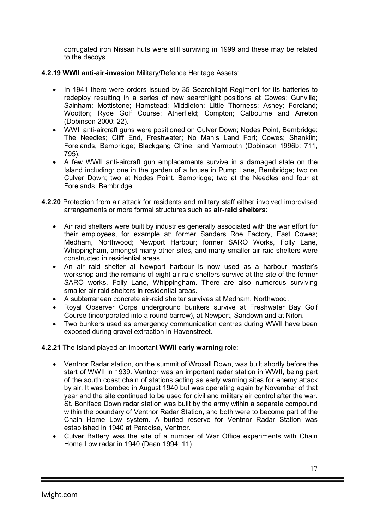corrugated iron Nissan huts were still surviving in 1999 and these may be related to the decoys.

- 4.2.19 WWII anti-air-invasion Military/Defence Heritage Assets:
	- In 1941 there were orders issued by 35 Searchlight Regiment for its batteries to redeploy resulting in a series of new searchlight positions at Cowes; Gunville; Sainham; Mottistone; Hamstead; Middleton; Little Thorness; Ashey; Foreland; Wootton; Ryde Golf Course; Atherfield; Compton; Calbourne and Arreton (Dobinson 2000: 22).
	- WWII anti-aircraft guns were positioned on Culver Down; Nodes Point, Bembridge; The Needles; Cliff End, Freshwater; No Man's Land Fort; Cowes; Shanklin; Forelands, Bembridge; Blackgang Chine; and Yarmouth (Dobinson 1996b: 711, 795).
	- A few WWII anti-aircraft gun emplacements survive in a damaged state on the Island including: one in the garden of a house in Pump Lane, Bembridge; two on Culver Down; two at Nodes Point, Bembridge; two at the Needles and four at Forelands, Bembridge.
- 4.2.20 Protection from air attack for residents and military staff either involved improvised arrangements or more formal structures such as air-raid shelters:
	- Air raid shelters were built by industries generally associated with the war effort for their employees, for example at: former Sanders Roe Factory, East Cowes; Medham, Northwood; Newport Harbour; former SARO Works, Folly Lane, Whippingham, amongst many other sites, and many smaller air raid shelters were constructed in residential areas.
	- An air raid shelter at Newport harbour is now used as a harbour master's workshop and the remains of eight air raid shelters survive at the site of the former SARO works, Folly Lane, Whippingham. There are also numerous surviving smaller air raid shelters in residential areas.
	- A subterranean concrete air-raid shelter survives at Medham, Northwood.
	- Royal Observer Corps underground bunkers survive at Freshwater Bay Golf Course (incorporated into a round barrow), at Newport, Sandown and at Niton.
	- Two bunkers used as emergency communication centres during WWII have been exposed during gravel extraction in Havenstreet.

4.2.21 The Island played an important WWII early warning role:

- Ventnor Radar station, on the summit of Wroxall Down, was built shortly before the start of WWII in 1939. Ventnor was an important radar station in WWII, being part of the south coast chain of stations acting as early warning sites for enemy attack by air. It was bombed in August 1940 but was operating again by November of that year and the site continued to be used for civil and military air control after the war. St. Boniface Down radar station was built by the army within a separate compound within the boundary of Ventnor Radar Station, and both were to become part of the Chain Home Low system. A buried reserve for Ventnor Radar Station was established in 1940 at Paradise, Ventnor.
- Culver Battery was the site of a number of War Office experiments with Chain Home Low radar in 1940 (Dean 1994: 11).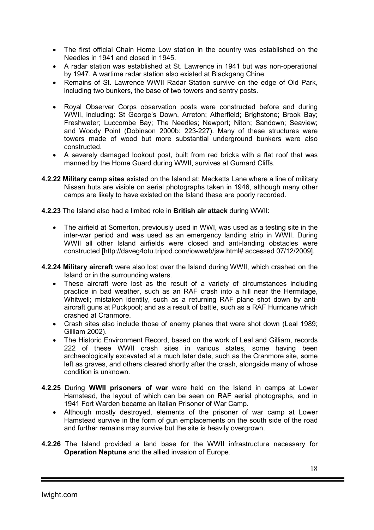- The first official Chain Home Low station in the country was established on the Needles in 1941 and closed in 1945.
- A radar station was established at St. Lawrence in 1941 but was non-operational by 1947. A wartime radar station also existed at Blackgang Chine.
- Remains of St. Lawrence WWII Radar Station survive on the edge of Old Park, including two bunkers, the base of two towers and sentry posts.
- Royal Observer Corps observation posts were constructed before and during WWII, including: St George's Down, Arreton; Atherfield; Brighstone; Brook Bay; Freshwater; Luccombe Bay; The Needles; Newport; Niton; Sandown; Seaview; and Woody Point (Dobinson 2000b: 223-227). Many of these structures were towers made of wood but more substantial underground bunkers were also constructed.
- A severely damaged lookout post, built from red bricks with a flat roof that was manned by the Home Guard during WWII, survives at Gurnard Cliffs.
- 4.2.22 Military camp sites existed on the Island at: Macketts Lane where a line of military Nissan huts are visible on aerial photographs taken in 1946, although many other camps are likely to have existed on the Island these are poorly recorded.
- 4.2.23 The Island also had a limited role in British air attack during WWII:
	- The airfield at Somerton, previously used in WWI, was used as a testing site in the inter-war period and was used as an emergency landing strip in WWII. During WWII all other Island airfields were closed and anti-landing obstacles were constructed [http://daveg4otu.tripod.com/iowweb/jsw.html# accessed 07/12/2009].
- 4.2.24 Military aircraft were also lost over the Island during WWII, which crashed on the Island or in the surrounding waters.
	- These aircraft were lost as the result of a variety of circumstances including practice in bad weather, such as an RAF crash into a hill near the Hermitage, Whitwell; mistaken identity, such as a returning RAF plane shot down by antiaircraft guns at Puckpool; and as a result of battle, such as a RAF Hurricane which crashed at Cranmore.
	- Crash sites also include those of enemy planes that were shot down (Leal 1989; Gilliam 2002).
	- The Historic Environment Record, based on the work of Leal and Gilliam, records 222 of these WWII crash sites in various states, some having been archaeologically excavated at a much later date, such as the Cranmore site, some left as graves, and others cleared shortly after the crash, alongside many of whose condition is unknown.
- 4.2.25 During WWII prisoners of war were held on the Island in camps at Lower Hamstead, the layout of which can be seen on RAF aerial photographs, and in 1941 Fort Warden became an Italian Prisoner of War Camp.
	- Although mostly destroyed, elements of the prisoner of war camp at Lower Hamstead survive in the form of gun emplacements on the south side of the road and further remains may survive but the site is heavily overgrown.
- 4.2.26 The Island provided a land base for the WWII infrastructure necessary for Operation Neptune and the allied invasion of Europe.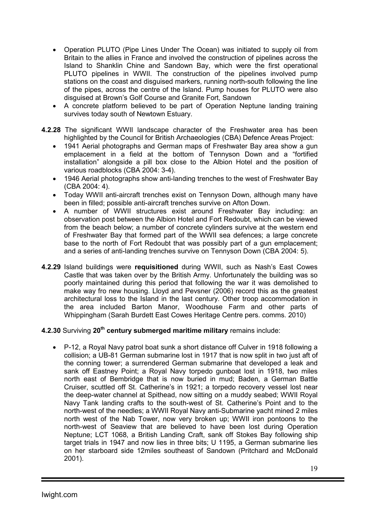- Operation PLUTO (Pipe Lines Under The Ocean) was initiated to supply oil from Britain to the allies in France and involved the construction of pipelines across the Island to Shanklin Chine and Sandown Bay, which were the first operational PLUTO pipelines in WWII. The construction of the pipelines involved pump stations on the coast and disguised markers, running north-south following the line of the pipes, across the centre of the Island. Pump houses for PLUTO were also disguised at Brown's Golf Course and Granite Fort, Sandown
- A concrete platform believed to be part of Operation Neptune landing training survives today south of Newtown Estuary.
- 4.2.28 The significant WWII landscape character of the Freshwater area has been highlighted by the Council for British Archaeologies (CBA) Defence Areas Project:
	- 1941 Aerial photographs and German maps of Freshwater Bay area show a gun emplacement in a field at the bottom of Tennyson Down and a "fortified installation" alongside a pill box close to the Albion Hotel and the position of various roadblocks (CBA 2004: 3-4).
	- 1946 Aerial photographs show anti-landing trenches to the west of Freshwater Bay (CBA 2004: 4).
	- Today WWII anti-aircraft trenches exist on Tennyson Down, although many have been in filled; possible anti-aircraft trenches survive on Afton Down.
	- A number of WWII structures exist around Freshwater Bay including: an observation post between the Albion Hotel and Fort Redoubt, which can be viewed from the beach below; a number of concrete cylinders survive at the western end of Freshwater Bay that formed part of the WWII sea defences; a large concrete base to the north of Fort Redoubt that was possibly part of a gun emplacement; and a series of anti-landing trenches survive on Tennyson Down (CBA 2004: 5).
- 4.2.29 Island buildings were requisitioned during WWII, such as Nash's East Cowes Castle that was taken over by the British Army. Unfortunately the building was so poorly maintained during this period that following the war it was demolished to make way fro new housing. Lloyd and Pevsner (2006) record this as the greatest architectural loss to the Island in the last century. Other troop accommodation in the area included Barton Manor, Woodhouse Farm and other parts of Whippingham (Sarah Burdett East Cowes Heritage Centre pers. comms. 2010)

## 4.2.30 Surviving 20<sup>th</sup> century submerged maritime military remains include:

• P-12, a Royal Navy patrol boat sunk a short distance off Culver in 1918 following a collision; a UB-81 German submarine lost in 1917 that is now split in two just aft of the conning tower; a surrendered German submarine that developed a leak and sank off Eastney Point; a Royal Navy torpedo gunboat lost in 1918, two miles north east of Bembridge that is now buried in mud; Baden, a German Battle Cruiser, scuttled off St. Catherine's in 1921; a torpedo recovery vessel lost near the deep-water channel at Spithead, now sitting on a muddy seabed; WWII Royal Navy Tank landing crafts to the south-west of St. Catherine's Point and to the north-west of the needles; a WWII Royal Navy anti-Submarine yacht mined 2 miles north west of the Nab Tower, now very broken up; WWII iron pontoons to the north-west of Seaview that are believed to have been lost during Operation Neptune; LCT 1068, a British Landing Craft, sank off Stokes Bay following ship target trials in 1947 and now lies in three bits; U 1195, a German submarine lies on her starboard side 12miles southeast of Sandown (Pritchard and McDonald 2001).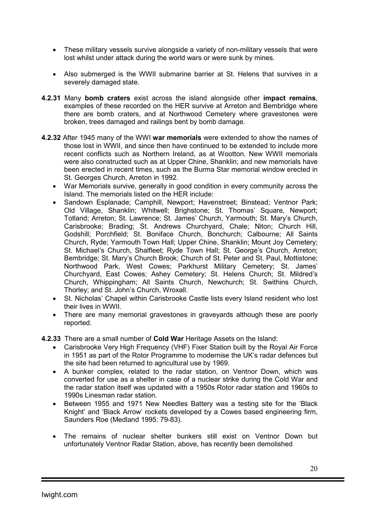- These military vessels survive alongside a variety of non-military vessels that were lost whilst under attack during the world wars or were sunk by mines.
- Also submerged is the WWII submarine barrier at St. Helens that survives in a severely damaged state.
- 4.2.31 Many bomb craters exist across the island alongside other impact remains, examples of these recorded on the HER survive at Arreton and Bembridge where there are bomb craters, and at Northwood Cemetery where gravestones were broken, trees damaged and railings bent by bomb damage.
- 4.2.32 After 1945 many of the WWI war memorials were extended to show the names of those lost in WWII, and since then have continued to be extended to include more recent conflicts such as Northern Ireland, as at Wootton. New WWII memorials were also constructed such as at Upper Chine, Shanklin; and new memorials have been erected in recent times, such as the Burma Star memorial window erected in St. Georges Church, Arreton in 1992.
	- War Memorials survive, generally in good condition in every community across the Island. The memorials listed on the HER include:
	- Sandown Esplanade; Camphill, Newport; Havenstreet; Binstead; Ventnor Park; Old Village, Shanklin; Whitwell; Brighstone; St. Thomas' Square, Newport; Totland; Arreton; St. Lawrence; St. James' Church, Yarmouth; St. Mary's Church, Carisbrooke; Brading; St. Andrews Churchyard, Chale; Niton; Church Hill, Godshill; Porchfield; St. Boniface Church, Bonchurch; Calbourne; All Saints Church, Ryde; Yarmouth Town Hall; Upper Chine, Shanklin; Mount Joy Cemetery; St. Michael's Church, Shalfleet; Ryde Town Hall; St. George's Church, Arreton; Bembridge; St. Mary's Church Brook; Church of St. Peter and St. Paul, Mottistone; Northwood Park, West Cowes; Parkhurst Military Cemetery; St. James' Churchyard, East Cowes; Ashey Cemetery; St. Helens Church; St. Mildred's Church, Whippingham; All Saints Church, Newchurch; St. Swithins Church, Thorley; and St. John's Church, Wroxall.
	- St. Nicholas' Chapel within Carisbrooke Castle lists every Island resident who lost their lives in WWII.
	- There are many memorial gravestones in graveyards although these are poorly reported.
- 4.2.33 There are a small number of Cold War Heritage Assets on the Island:
	- Carisbrooke Very High Frequency (VHF) Fixer Station built by the Royal Air Force in 1951 as part of the Rotor Programme to modernise the UK's radar defences but the site had been returned to agricultural use by 1969.
	- A bunker complex, related to the radar station, on Ventnor Down, which was converted for use as a shelter in case of a nuclear strike during the Cold War and the radar station itself was updated with a 1950s Rotor radar station and 1960s to 1990s Linesman radar station.
	- Between 1955 and 1971 New Needles Battery was a testing site for the 'Black Knight' and 'Black Arrow' rockets developed by a Cowes based engineering firm, Saunders Roe (Medland 1995: 79-83).
	- The remains of nuclear shelter bunkers still exist on Ventnor Down but unfortunately Ventnor Radar Station, above, has recently been demolished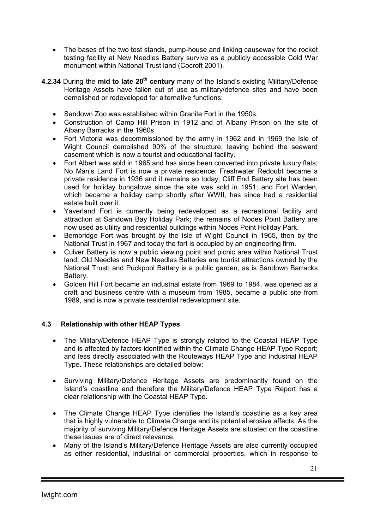- The bases of the two test stands, pump-house and linking causeway for the rocket testing facility at New Needles Battery survive as a publicly accessible Cold War monument within National Trust land (Cocroft 2001).
- 4.2.34 During the mid to late 20<sup>th</sup> century many of the Island's existing Military/Defence Heritage Assets have fallen out of use as military/defence sites and have been demolished or redeveloped for alternative functions:
	- Sandown Zoo was established within Granite Fort in the 1950s.
	- Construction of Camp Hill Prison in 1912 and of Albany Prison on the site of Albany Barracks in the 1960s
	- Fort Victoria was decommissioned by the army in 1962 and in 1969 the Isle of Wight Council demolished 90% of the structure, leaving behind the seaward casement which is now a tourist and educational facility.
	- Fort Albert was sold in 1965 and has since been converted into private luxury flats; No Man's Land Fort is now a private residence; Freshwater Redoubt became a private residence in 1936 and it remains so today; Cliff End Battery site has been used for holiday bungalows since the site was sold in 1951; and Fort Warden, which became a holiday camp shortly after WWII, has since had a residential estate built over it.
	- Yaverland Fort is currently being redeveloped as a recreational facility and attraction at Sandown Bay Holiday Park; the remains of Nodes Point Battery are now used as utility and residential buildings within Nodes Point Holiday Park.
	- Bembridge Fort was brought by the Isle of Wight Council in 1965, then by the National Trust in 1967 and today the fort is occupied by an engineering firm.
	- Culver Battery is now a public viewing point and picnic area within National Trust land; Old Needles and New Needles Batteries are tourist attractions owned by the National Trust; and Puckpool Battery is a public garden, as is Sandown Barracks Battery.
	- Golden Hill Fort became an industrial estate from 1969 to 1984, was opened as a craft and business centre with a museum from 1985, became a public site from 1989, and is now a private residential redevelopment site.

## 4.3 Relationship with other HEAP Types

- The Military/Defence HEAP Type is strongly related to the Coastal HEAP Type and is affected by factors identified within the Climate Change HEAP Type Report; and less directly associated with the Routeways HEAP Type and Industrial HEAP Type. These relationships are detailed below:
- Surviving Military/Defence Heritage Assets are predominantly found on the Island's coastline and therefore the Military/Defence HEAP Type Report has a clear relationship with the Coastal HEAP Type.
- The Climate Change HEAP Type identifies the Island's coastline as a key area that is highly vulnerable to Climate Change and its potential erosive affects. As the majority of surviving Military/Defence Heritage Assets are situated on the coastline these issues are of direct relevance.
- Many of the Island's Military/Defence Heritage Assets are also currently occupied as either residential, industrial or commercial properties, which in response to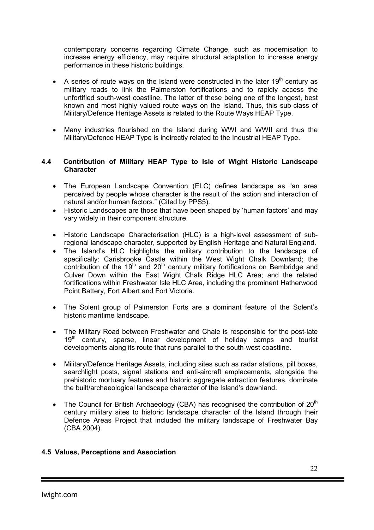contemporary concerns regarding Climate Change, such as modernisation to increase energy efficiency, may require structural adaptation to increase energy performance in these historic buildings.

- A series of route ways on the Island were constructed in the later  $19<sup>th</sup>$  century as military roads to link the Palmerston fortifications and to rapidly access the unfortified south-west coastline. The latter of these being one of the longest, best known and most highly valued route ways on the Island. Thus, this sub-class of Military/Defence Heritage Assets is related to the Route Ways HEAP Type.
- Many industries flourished on the Island during WWI and WWII and thus the Military/Defence HEAP Type is indirectly related to the Industrial HEAP Type.

#### 4.4 Contribution of Military HEAP Type to Isle of Wight Historic Landscape **Character**

- The European Landscape Convention (ELC) defines landscape as "an area perceived by people whose character is the result of the action and interaction of natural and/or human factors." (Cited by PPS5).
- Historic Landscapes are those that have been shaped by 'human factors' and may vary widely in their component structure.
- Historic Landscape Characterisation (HLC) is a high-level assessment of subregional landscape character, supported by English Heritage and Natural England.
- The Island's HLC highlights the military contribution to the landscape of specifically: Carisbrooke Castle within the West Wight Chalk Downland; the contribution of the  $19<sup>th</sup>$  and  $20<sup>th</sup>$  century military fortifications on Bembridge and Culver Down within the East Wight Chalk Ridge HLC Area; and the related fortifications within Freshwater Isle HLC Area, including the prominent Hatherwood Point Battery, Fort Albert and Fort Victoria.
- The Solent group of Palmerston Forts are a dominant feature of the Solent's historic maritime landscape.
- The Military Road between Freshwater and Chale is responsible for the post-late  $19<sup>th</sup>$  century, sparse, linear development of holiday camps and tourist developments along its route that runs parallel to the south-west coastline.
- Military/Defence Heritage Assets, including sites such as radar stations, pill boxes, searchlight posts, signal stations and anti-aircraft emplacements, alongside the prehistoric mortuary features and historic aggregate extraction features, dominate the built/archaeological landscape character of the Island's downland.
- The Council for British Archaeology (CBA) has recognised the contribution of  $20<sup>th</sup>$ century military sites to historic landscape character of the Island through their Defence Areas Project that included the military landscape of Freshwater Bay (CBA 2004).

#### 4.5 Values, Perceptions and Association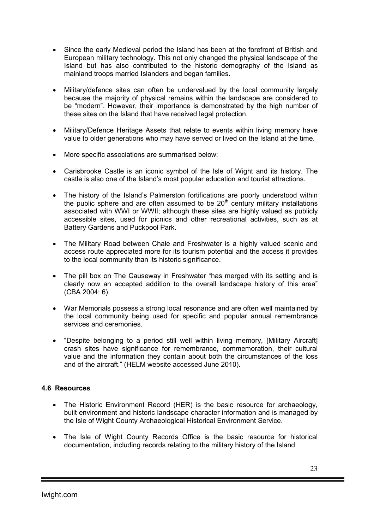- Since the early Medieval period the Island has been at the forefront of British and European military technology. This not only changed the physical landscape of the Island but has also contributed to the historic demography of the Island as mainland troops married Islanders and began families.
- Military/defence sites can often be undervalued by the local community largely because the majority of physical remains within the landscape are considered to be "modern". However, their importance is demonstrated by the high number of these sites on the Island that have received legal protection.
- Military/Defence Heritage Assets that relate to events within living memory have value to older generations who may have served or lived on the Island at the time.
- More specific associations are summarised below:
- Carisbrooke Castle is an iconic symbol of the Isle of Wight and its history. The castle is also one of the Island's most popular education and tourist attractions.
- The history of the Island's Palmerston fortifications are poorly understood within the public sphere and are often assumed to be  $20<sup>th</sup>$  century military installations associated with WWI or WWII; although these sites are highly valued as publicly accessible sites, used for picnics and other recreational activities, such as at Battery Gardens and Puckpool Park.
- The Military Road between Chale and Freshwater is a highly valued scenic and access route appreciated more for its tourism potential and the access it provides to the local community than its historic significance.
- The pill box on The Causeway in Freshwater "has merged with its setting and is clearly now an accepted addition to the overall landscape history of this area" (CBA 2004: 6).
- War Memorials possess a strong local resonance and are often well maintained by the local community being used for specific and popular annual remembrance services and ceremonies.
- "Despite belonging to a period still well within living memory, [Military Aircraft] crash sites have significance for remembrance, commemoration, their cultural value and the information they contain about both the circumstances of the loss and of the aircraft." (HELM website accessed June 2010).

#### 4.6 Resources

- The Historic Environment Record (HER) is the basic resource for archaeology, built environment and historic landscape character information and is managed by the Isle of Wight County Archaeological Historical Environment Service.
- The Isle of Wight County Records Office is the basic resource for historical documentation, including records relating to the military history of the Island.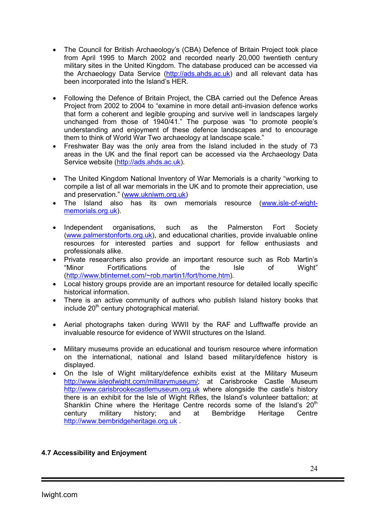- The Council for British Archaeology's (CBA) Defence of Britain Project took place from April 1995 to March 2002 and recorded nearly 20,000 twentieth century military sites in the United Kingdom. The database produced can be accessed via the Archaeology Data Service (http://ads.ahds.ac.uk) and all relevant data has been incorporated into the Island's HER.
- Following the Defence of Britain Project, the CBA carried out the Defence Areas Project from 2002 to 2004 to "examine in more detail anti-invasion defence works that form a coherent and legible grouping and survive well in landscapes largely unchanged from those of 1940/41." The purpose was "to promote people's understanding and enjoyment of these defence landscapes and to encourage them to think of World War Two archaeology at landscape scale."
- Freshwater Bay was the only area from the Island included in the study of 73 areas in the UK and the final report can be accessed via the Archaeology Data Service website (http://ads.ahds.ac.uk).
- The United Kingdom National Inventory of War Memorials is a charity "working to compile a list of all war memorials in the UK and to promote their appreciation, use and preservation." (www.ukniwm.org.uk)
- The Island also has its own memorials resource (www.isle-of-wightmemorials.org.uk).
- Independent organisations, such as the Palmerston Fort Society (www.palmerstonforts.org.uk), and educational charities, provide invaluable online resources for interested parties and support for fellow enthusiasts and professionals alike.
- Private researchers also provide an important resource such as Rob Martin's "Minor Fortifications of the Isle of Wight" (http://www.btinternet.com/~rob.martin1/fort/home.htm).
- Local history groups provide are an important resource for detailed locally specific historical information.
- There is an active community of authors who publish Island history books that  $include 20<sup>th</sup>$  century photographical material.
- Aerial photographs taken during WWII by the RAF and Lufftwaffe provide an invaluable resource for evidence of WWII structures on the Island.
- Military museums provide an educational and tourism resource where information on the international, national and Island based military/defence history is displayed.
- On the Isle of Wight military/defence exhibits exist at the Military Museum http://www.isleofwight.com/militarymuseum/; at Carisbrooke Castle Museum http://www.carisbrookecastlemuseum.org.uk where alongside the castle's history there is an exhibit for the Isle of Wight Rifles, the Island's volunteer battalion; at Shanklin Chine where the Heritage Centre records some of the Island's  $20<sup>th</sup>$ century military history; and at Bembridge Heritage Centre http://www.bembridgeheritage.org.uk .

## 4.7 Accessibility and Enjoyment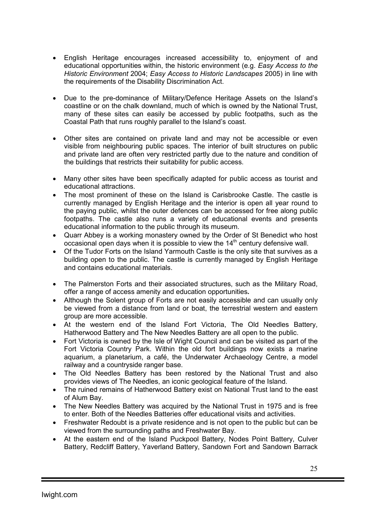- English Heritage encourages increased accessibility to, enjoyment of and educational opportunities within, the historic environment (e.g. *Easy Access to the Historic Environment* 2004; *Easy Access to Historic Landscapes* 2005) in line with the requirements of the Disability Discrimination Act.
- Due to the pre-dominance of Military/Defence Heritage Assets on the Island's coastline or on the chalk downland, much of which is owned by the National Trust, many of these sites can easily be accessed by public footpaths, such as the Coastal Path that runs roughly parallel to the Island's coast.
- Other sites are contained on private land and may not be accessible or even visible from neighbouring public spaces. The interior of built structures on public and private land are often very restricted partly due to the nature and condition of the buildings that restricts their suitability for public access.
- Many other sites have been specifically adapted for public access as tourist and educational attractions.
- The most prominent of these on the Island is Carisbrooke Castle. The castle is currently managed by English Heritage and the interior is open all year round to the paying public, whilst the outer defences can be accessed for free along public footpaths. The castle also runs a variety of educational events and presents educational information to the public through its museum.
- Quarr Abbey is a working monastery owned by the Order of St Benedict who host occasional open days when it is possible to view the  $14<sup>th</sup>$  century defensive wall.
- Of the Tudor Forts on the Island Yarmouth Castle is the only site that survives as a building open to the public. The castle is currently managed by English Heritage and contains educational materials.
- The Palmerston Forts and their associated structures, such as the Military Road, offer a range of access amenity and education opportunities.
- Although the Solent group of Forts are not easily accessible and can usually only be viewed from a distance from land or boat, the terrestrial western and eastern group are more accessible.
- At the western end of the Island Fort Victoria, The Old Needles Battery, Hatherwood Battery and The New Needles Battery are all open to the public.
- Fort Victoria is owned by the Isle of Wight Council and can be visited as part of the Fort Victoria Country Park. Within the old fort buildings now exists a marine aquarium, a planetarium, a café, the Underwater Archaeology Centre, a model railway and a countryside ranger base.
- The Old Needles Battery has been restored by the National Trust and also provides views of The Needles, an iconic geological feature of the Island.
- The ruined remains of Hatherwood Battery exist on National Trust land to the east of Alum Bay.
- The New Needles Battery was acquired by the National Trust in 1975 and is free to enter. Both of the Needles Batteries offer educational visits and activities.
- Freshwater Redoubt is a private residence and is not open to the public but can be viewed from the surrounding paths and Freshwater Bay.
- At the eastern end of the Island Puckpool Battery, Nodes Point Battery, Culver Battery, Redcliff Battery, Yaverland Battery, Sandown Fort and Sandown Barrack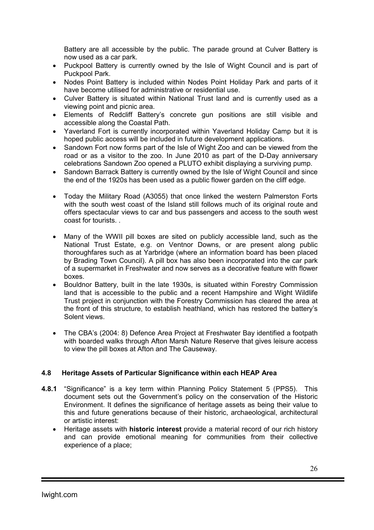Battery are all accessible by the public. The parade ground at Culver Battery is now used as a car park.

- Puckpool Battery is currently owned by the Isle of Wight Council and is part of Puckpool Park.
- Nodes Point Battery is included within Nodes Point Holiday Park and parts of it have become utilised for administrative or residential use.
- Culver Battery is situated within National Trust land and is currently used as a viewing point and picnic area.
- Elements of Redcliff Battery's concrete gun positions are still visible and accessible along the Coastal Path.
- Yaverland Fort is currently incorporated within Yaverland Holiday Camp but it is hoped public access will be included in future development applications.
- Sandown Fort now forms part of the Isle of Wight Zoo and can be viewed from the road or as a visitor to the zoo. In June 2010 as part of the D-Day anniversary celebrations Sandown Zoo opened a PLUTO exhibit displaying a surviving pump.
- Sandown Barrack Battery is currently owned by the Isle of Wight Council and since the end of the 1920s has been used as a public flower garden on the cliff edge.
- Today the Military Road (A3055) that once linked the western Palmerston Forts with the south west coast of the Island still follows much of its original route and offers spectacular views to car and bus passengers and access to the south west coast for tourists. .
- Many of the WWII pill boxes are sited on publicly accessible land, such as the National Trust Estate, e.g. on Ventnor Downs, or are present along public thoroughfares such as at Yarbridge (where an information board has been placed by Brading Town Council). A pill box has also been incorporated into the car park of a supermarket in Freshwater and now serves as a decorative feature with flower boxes.
- Bouldnor Battery, built in the late 1930s, is situated within Forestry Commission land that is accessible to the public and a recent Hampshire and Wight Wildlife Trust project in conjunction with the Forestry Commission has cleared the area at the front of this structure, to establish heathland, which has restored the battery's Solent views.
- The CBA's (2004: 8) Defence Area Project at Freshwater Bay identified a footpath with boarded walks through Afton Marsh Nature Reserve that gives leisure access to view the pill boxes at Afton and The Causeway.

## 4.8 Heritage Assets of Particular Significance within each HEAP Area

- 4.8.1 "Significance" is a key term within Planning Policy Statement 5 (PPS5). This document sets out the Government's policy on the conservation of the Historic Environment. It defines the significance of heritage assets as being their value to this and future generations because of their historic, archaeological, architectural or artistic interest:
	- Heritage assets with historic interest provide a material record of our rich history and can provide emotional meaning for communities from their collective experience of a place;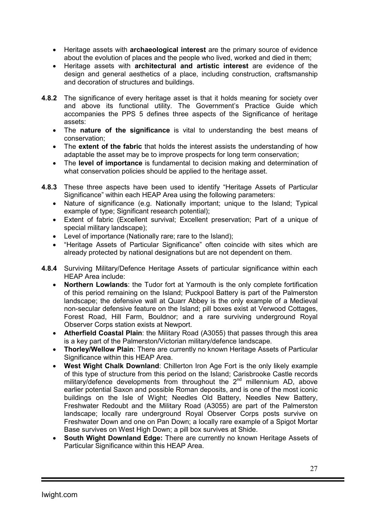- Heritage assets with archaeological interest are the primary source of evidence about the evolution of places and the people who lived, worked and died in them;
- Heritage assets with architectural and artistic interest are evidence of the design and general aesthetics of a place, including construction, craftsmanship and decoration of structures and buildings.
- 4.8.2 The significance of every heritage asset is that it holds meaning for society over and above its functional utility. The Government's Practice Guide which accompanies the PPS 5 defines three aspects of the Significance of heritage assets:
	- The nature of the significance is vital to understanding the best means of conservation;
	- The **extent of the fabric** that holds the interest assists the understanding of how adaptable the asset may be to improve prospects for long term conservation;
	- The level of importance is fundamental to decision making and determination of what conservation policies should be applied to the heritage asset.
- 4.8.3 These three aspects have been used to identify "Heritage Assets of Particular Significance" within each HEAP Area using the following parameters:
	- Nature of significance (e.g. Nationally important; unique to the Island; Typical example of type; Significant research potential);
	- Extent of fabric (Excellent survival; Excellent preservation; Part of a unique of special military landscape);
	- Level of importance (Nationally rare; rare to the Island);
	- "Heritage Assets of Particular Significance" often coincide with sites which are already protected by national designations but are not dependent on them.
- 4.8.4 Surviving Military/Defence Heritage Assets of particular significance within each HEAP Area include:
	- **Northern Lowlands:** the Tudor fort at Yarmouth is the only complete fortification of this period remaining on the Island; Puckpool Battery is part of the Palmerston landscape; the defensive wall at Quarr Abbey is the only example of a Medieval non-secular defensive feature on the Island; pill boxes exist at Verwood Cottages, Forest Road, Hill Farm, Bouldnor; and a rare surviving underground Royal Observer Corps station exists at Newport.
	- Atherfield Coastal Plain: the Military Road (A3055) that passes through this area is a key part of the Palmerston/Victorian military/defence landscape.
	- Thorley/Wellow Plain: There are currently no known Heritage Assets of Particular Significance within this HEAP Area.
	- West Wight Chalk Downland: Chillerton Iron Age Fort is the only likely example of this type of structure from this period on the Island; Carisbrooke Castle records military/defence developments from throughout the  $2<sup>nd</sup>$  millennium AD, above earlier potential Saxon and possible Roman deposits, and is one of the most iconic buildings on the Isle of Wight; Needles Old Battery, Needles New Battery, Freshwater Redoubt and the Military Road (A3055) are part of the Palmerston landscape; locally rare underground Royal Observer Corps posts survive on Freshwater Down and one on Pan Down; a locally rare example of a Spigot Mortar Base survives on West High Down; a pill box survives at Shide.
	- South Wight Downland Edge: There are currently no known Heritage Assets of Particular Significance within this HEAP Area.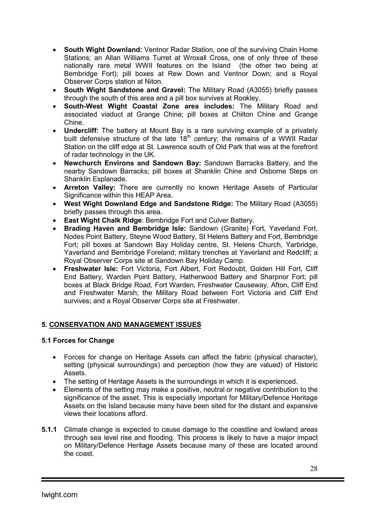- South Wight Downland: Ventnor Radar Station, one of the surviving Chain Home Stations; an Allan Williams Turret at Wroxall Cross, one of only three of these nationally rare metal WWII features on the Island (the other two being at Bembridge Fort); pill boxes at Rew Down and Ventnor Down; and a Royal Observer Corps station at Niton.
- South Wight Sandstone and Gravel: The Military Road (A3055) briefly passes through the south of this area and a pill box survives at Rookley.
- South-West Wight Coastal Zone area includes: The Military Road and associated viaduct at Grange Chine; pill boxes at Chilton Chine and Grange Chine.
- Undercliff: The battery at Mount Bay is a rare surviving example of a privately built defensive structure of the late  $18<sup>th</sup>$  century; the remains of a WWII Radar Station on the cliff edge at St. Lawrence south of Old Park that was at the forefront of radar technology in the UK.
- Newchurch Environs and Sandown Bay: Sandown Barracks Battery, and the nearby Sandown Barracks; pill boxes at Shanklin Chine and Osborne Steps on Shanklin Esplanade.
- Arreton Valley: There are currently no known Heritage Assets of Particular Significance within this HEAP Area.
- West Wight Downland Edge and Sandstone Ridge: The Military Road (A3055) briefly passes through this area.
- East Wight Chalk Ridge: Bembridge Fort and Culver Battery.
- **Brading Haven and Bembridge Isle:** Sandown (Granite) Fort, Yaverland Fort, Nodes Point Battery, Steyne Wood Battery, St Helens Battery and Fort, Bembridge Fort; pill boxes at Sandown Bay Holiday centre, St. Helens Church, Yarbridge, Yaverland and Bembridge Foreland; military trenches at Yaverland and Redcliff; a Royal Observer Corps site at Sandown Bay Holiday Camp.
- Freshwater Isle: Fort Victoria, Fort Albert, Fort Redoubt, Golden Hill Fort, Cliff End Battery, Warden Point Battery, Hatherwood Battery and Sharpnor Fort; pill boxes at Black Bridge Road, Fort Warden, Freshwater Causeway, Afton, Cliff End and Freshwater Marsh; the Military Road between Fort Victoria and Cliff End survives; and a Royal Observer Corps site at Freshwater.

## 5. CONSERVATION AND MANAGEMENT ISSUES

#### 5.1 Forces for Change

- Forces for change on Heritage Assets can affect the fabric (physical character), setting (physical surroundings) and perception (how they are valued) of Historic Assets.
- The setting of Heritage Assets is the surroundings in which it is experienced.
- Elements of the setting may make a positive, neutral or negative contribution to the significance of the asset. This is especially important for Military/Defence Heritage Assets on the Island because many have been sited for the distant and expansive views their locations afford.
- 5.1.1 Climate change is expected to cause damage to the coastline and lowland areas through sea level rise and flooding. This process is likely to have a major impact on Military/Defence Heritage Assets because many of these are located around the coast.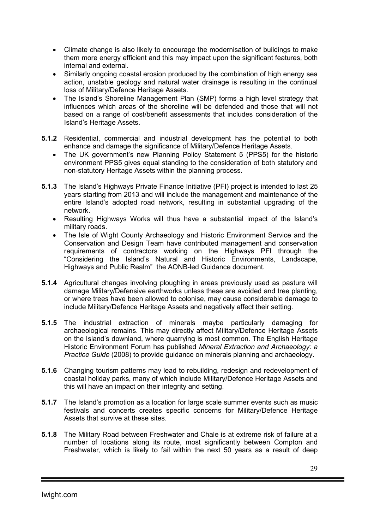- Climate change is also likely to encourage the modernisation of buildings to make them more energy efficient and this may impact upon the significant features, both internal and external.
- Similarly ongoing coastal erosion produced by the combination of high energy sea action, unstable geology and natural water drainage is resulting in the continual loss of Military/Defence Heritage Assets.
- The Island's Shoreline Management Plan (SMP) forms a high level strategy that influences which areas of the shoreline will be defended and those that will not based on a range of cost/benefit assessments that includes consideration of the Island's Heritage Assets.
- 5.1.2 Residential, commercial and industrial development has the potential to both enhance and damage the significance of Military/Defence Heritage Assets.
	- The UK government's new Planning Policy Statement 5 (PPS5) for the historic environment PPS5 gives equal standing to the consideration of both statutory and non-statutory Heritage Assets within the planning process.
- 5.1.3 The Island's Highways Private Finance Initiative (PFI) project is intended to last 25 years starting from 2013 and will include the management and maintenance of the entire Island's adopted road network, resulting in substantial upgrading of the network.
	- Resulting Highways Works will thus have a substantial impact of the Island's military roads.
	- The Isle of Wight County Archaeology and Historic Environment Service and the Conservation and Design Team have contributed management and conservation requirements of contractors working on the Highways PFI through the "Considering the Island's Natural and Historic Environments, Landscape, Highways and Public Realm" the AONB-led Guidance document.
- 5.1.4 Agricultural changes involving ploughing in areas previously used as pasture will damage Military/Defensive earthworks unless these are avoided and tree planting, or where trees have been allowed to colonise, may cause considerable damage to include Military/Defence Heritage Assets and negatively affect their setting.
- 5.1.5 The industrial extraction of minerals maybe particularly damaging for archaeological remains. This may directly affect Military/Defence Heritage Assets on the Island's downland, where quarrying is most common. The English Heritage Historic Environment Forum has published *Mineral Extraction and Archaeology: a Practice Guide* (2008) to provide guidance on minerals planning and archaeology.
- 5.1.6 Changing tourism patterns may lead to rebuilding, redesign and redevelopment of coastal holiday parks, many of which include Military/Defence Heritage Assets and this will have an impact on their integrity and setting.
- 5.1.7 The Island's promotion as a location for large scale summer events such as music festivals and concerts creates specific concerns for Military/Defence Heritage Assets that survive at these sites.
- 5.1.8 The Military Road between Freshwater and Chale is at extreme risk of failure at a number of locations along its route, most significantly between Compton and Freshwater, which is likely to fail within the next 50 years as a result of deep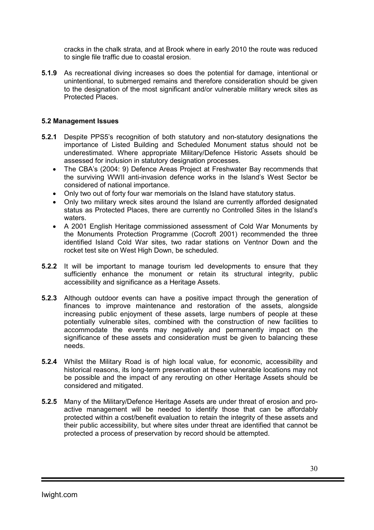cracks in the chalk strata, and at Brook where in early 2010 the route was reduced to single file traffic due to coastal erosion.

5.1.9 As recreational diving increases so does the potential for damage, intentional or unintentional, to submerged remains and therefore consideration should be given to the designation of the most significant and/or vulnerable military wreck sites as Protected Places.

#### 5.2 Management Issues

- 5.2.1 Despite PPS5's recognition of both statutory and non-statutory designations the importance of Listed Building and Scheduled Monument status should not be underestimated. Where appropriate Military/Defence Historic Assets should be assessed for inclusion in statutory designation processes.
	- The CBA's (2004: 9) Defence Areas Project at Freshwater Bay recommends that the surviving WWII anti-invasion defence works in the Island's West Sector be considered of national importance.
	- Only two out of forty four war memorials on the Island have statutory status.
	- Only two military wreck sites around the Island are currently afforded designated status as Protected Places, there are currently no Controlled Sites in the Island's waters.
	- A 2001 English Heritage commissioned assessment of Cold War Monuments by the Monuments Protection Programme (Cocroft 2001) recommended the three identified Island Cold War sites, two radar stations on Ventnor Down and the rocket test site on West High Down, be scheduled.
- **5.2.2** It will be important to manage tourism led developments to ensure that they sufficiently enhance the monument or retain its structural integrity, public accessibility and significance as a Heritage Assets.
- 5.2.3 Although outdoor events can have a positive impact through the generation of finances to improve maintenance and restoration of the assets, alongside increasing public enjoyment of these assets, large numbers of people at these potentially vulnerable sites, combined with the construction of new facilities to accommodate the events may negatively and permanently impact on the significance of these assets and consideration must be given to balancing these needs.
- 5.2.4 Whilst the Military Road is of high local value, for economic, accessibility and historical reasons, its long-term preservation at these vulnerable locations may not be possible and the impact of any rerouting on other Heritage Assets should be considered and mitigated.
- 5.2.5 Many of the Military/Defence Heritage Assets are under threat of erosion and proactive management will be needed to identify those that can be affordably protected within a cost/benefit evaluation to retain the integrity of these assets and their public accessibility, but where sites under threat are identified that cannot be protected a process of preservation by record should be attempted.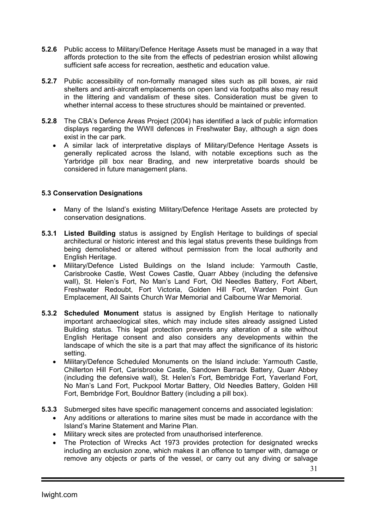- 5.2.6 Public access to Military/Defence Heritage Assets must be managed in a way that affords protection to the site from the effects of pedestrian erosion whilst allowing sufficient safe access for recreation, aesthetic and education value.
- 5.2.7 Public accessibility of non-formally managed sites such as pill boxes, air raid shelters and anti-aircraft emplacements on open land via footpaths also may result in the littering and vandalism of these sites. Consideration must be given to whether internal access to these structures should be maintained or prevented.
- 5.2.8 The CBA's Defence Areas Project (2004) has identified a lack of public information displays regarding the WWII defences in Freshwater Bay, although a sign does exist in the car park.
	- A similar lack of interpretative displays of Military/Defence Heritage Assets is generally replicated across the Island, with notable exceptions such as the Yarbridge pill box near Brading, and new interpretative boards should be considered in future management plans.

## 5.3 Conservation Designations

- Many of the Island's existing Military/Defence Heritage Assets are protected by conservation designations.
- 5.3.1 Listed Building status is assigned by English Heritage to buildings of special architectural or historic interest and this legal status prevents these buildings from being demolished or altered without permission from the local authority and English Heritage.
	- Military/Defence Listed Buildings on the Island include: Yarmouth Castle, Carisbrooke Castle, West Cowes Castle, Quarr Abbey (including the defensive wall), St. Helen's Fort, No Man's Land Fort, Old Needles Battery, Fort Albert, Freshwater Redoubt, Fort Victoria, Golden Hill Fort, Warden Point Gun Emplacement, All Saints Church War Memorial and Calbourne War Memorial.
- 5.3.2 Scheduled Monument status is assigned by English Heritage to nationally important archaeological sites, which may include sites already assigned Listed Building status. This legal protection prevents any alteration of a site without English Heritage consent and also considers any developments within the landscape of which the site is a part that may affect the significance of its historic setting.
	- Military/Defence Scheduled Monuments on the Island include: Yarmouth Castle, Chillerton Hill Fort, Carisbrooke Castle, Sandown Barrack Battery, Quarr Abbey (including the defensive wall), St. Helen's Fort, Bembridge Fort, Yaverland Fort, No Man's Land Fort, Puckpool Mortar Battery, Old Needles Battery, Golden Hill Fort, Bembridge Fort, Bouldnor Battery (including a pill box).
- 5.3.3 Submerged sites have specific management concerns and associated legislation:
	- Any additions or alterations to marine sites must be made in accordance with the Island's Marine Statement and Marine Plan.
	- Military wreck sites are protected from unauthorised interference.
	- The Protection of Wrecks Act 1973 provides protection for designated wrecks including an exclusion zone, which makes it an offence to tamper with, damage or remove any objects or parts of the vessel, or carry out any diving or salvage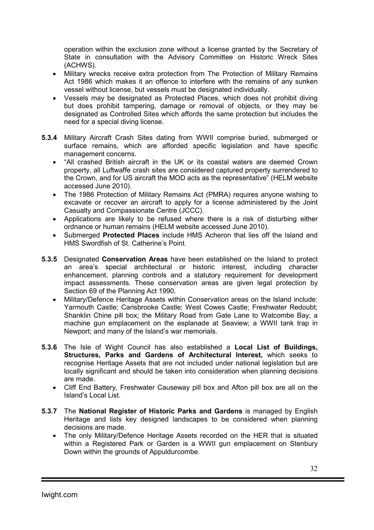operation within the exclusion zone without a license granted by the Secretary of State in consultation with the Advisory Committee on Historic Wreck Sites (ACHWS).

- Military wrecks receive extra protection from The Protection of Military Remains Act 1986 which makes it an offence to interfere with the remains of any sunken vessel without license, but vessels must be designated individually.
- Vessels may be designated as Protected Places, which does not prohibit diving but does prohibit tampering, damage or removal of objects, or they may be designated as Controlled Sites which affords the same protection but includes the need for a special diving license.
- 5.3.4 Military Aircraft Crash Sites dating from WWII comprise buried, submerged or surface remains, which are afforded specific legislation and have specific management concerns.
	- "All crashed British aircraft in the UK or its coastal waters are deemed Crown property, all Luftwaffe crash sites are considered captured property surrendered to the Crown, and for US aircraft the MOD acts as the representative" (HELM website accessed June 2010).
	- The 1986 Protection of Military Remains Act (PMRA) requires anyone wishing to excavate or recover an aircraft to apply for a license administered by the Joint Casualty and Compassionate Centre (JCCC).
	- Applications are likely to be refused where there is a risk of disturbing either ordnance or human remains (HELM website accessed June 2010).
	- Submerged Protected Places include HMS Acheron that lies off the Island and HMS Swordfish of St. Catherine's Point.
- 5.3.5 Designated Conservation Areas have been established on the Island to protect an area's special architectural or historic interest, including character enhancement, planning controls and a statutory requirement for development impact assessments. These conservation areas are given legal protection by Section 69 of the Planning Act 1990.
	- Military/Defence Heritage Assets within Conservation areas on the Island include: Yarmouth Castle; Carisbrooke Castle; West Cowes Castle; Freshwater Redoubt; Shanklin Chine pill box; the Military Road from Gate Lane to Watcombe Bay; a machine gun emplacement on the esplanade at Seaview; a WWII tank trap in Newport; and many of the Island's war memorials.
- 5.3.6 The Isle of Wight Council has also established a Local List of Buildings, Structures, Parks and Gardens of Architectural Interest, which seeks to recognise Heritage Assets that are not included under national legislation but are locally significant and should be taken into consideration when planning decisions are made.
	- Cliff End Battery, Freshwater Causeway pill box and Afton pill box are all on the Island's Local List.
- 5.3.7 The National Register of Historic Parks and Gardens is managed by English Heritage and lists key designed landscapes to be considered when planning decisions are made.
	- The only Military/Defence Heritage Assets recorded on the HER that is situated within a Registered Park or Garden is a WWII gun emplacement on Stenbury Down within the grounds of Appuldurcombe.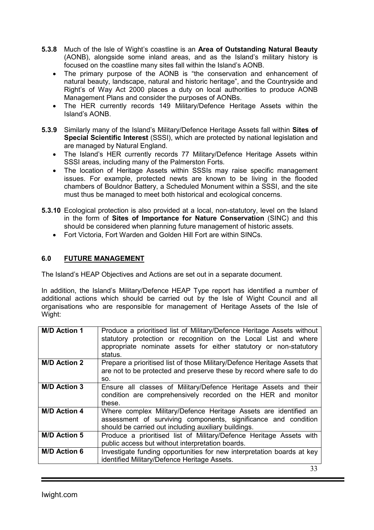- 5.3.8 Much of the Isle of Wight's coastline is an Area of Outstanding Natural Beauty (AONB), alongside some inland areas, and as the Island's military history is focused on the coastline many sites fall within the Island's AONB.
	- The primary purpose of the AONB is "the conservation and enhancement of natural beauty, landscape, natural and historic heritage", and the Countryside and Right's of Way Act 2000 places a duty on local authorities to produce AONB Management Plans and consider the purposes of AONBs.
	- The HER currently records 149 Military/Defence Heritage Assets within the Island's AONB.
- 5.3.9 Similarly many of the Island's Military/Defence Heritage Assets fall within Sites of Special Scientific Interest (SSSI), which are protected by national legislation and are managed by Natural England.
	- The Island's HER currently records 77 Military/Defence Heritage Assets within SSSI areas, including many of the Palmerston Forts.
	- The location of Heritage Assets within SSSIs may raise specific management issues. For example, protected newts are known to be living in the flooded chambers of Bouldnor Battery, a Scheduled Monument within a SSSI, and the site must thus be managed to meet both historical and ecological concerns.
- 5.3.10 Ecological protection is also provided at a local, non-statutory, level on the Island in the form of Sites of Importance for Nature Conservation (SINC) and this should be considered when planning future management of historic assets.
	- Fort Victoria, Fort Warden and Golden Hill Fort are within SINCs.

## 6.0 FUTURE MANAGEMENT

The Island's HEAP Objectives and Actions are set out in a separate document.

In addition, the Island's Military/Defence HEAP Type report has identified a number of additional actions which should be carried out by the Isle of Wight Council and all organisations who are responsible for management of Heritage Assets of the Isle of Wight:

| <b>M/D Action 1</b> | Produce a prioritised list of Military/Defence Heritage Assets without<br>statutory protection or recognition on the Local List and where<br>appropriate nominate assets for either statutory or non-statutory<br>status. |
|---------------------|---------------------------------------------------------------------------------------------------------------------------------------------------------------------------------------------------------------------------|
| <b>M/D Action 2</b> | Prepare a prioritised list of those Military/Defence Heritage Assets that<br>are not to be protected and preserve these by record where safe to do<br>SO.                                                                 |
| <b>M/D Action 3</b> | Ensure all classes of Military/Defence Heritage Assets and their<br>condition are comprehensively recorded on the HER and monitor<br>these.                                                                               |
| <b>M/D Action 4</b> | Where complex Military/Defence Heritage Assets are identified an<br>assessment of surviving components, significance and condition<br>should be carried out including auxiliary buildings.                                |
| <b>M/D Action 5</b> | Produce a prioritised list of Military/Defence Heritage Assets with<br>public access but without interpretation boards.                                                                                                   |
| <b>M/D Action 6</b> | Investigate funding opportunities for new interpretation boards at key<br>identified Military/Defence Heritage Assets.                                                                                                    |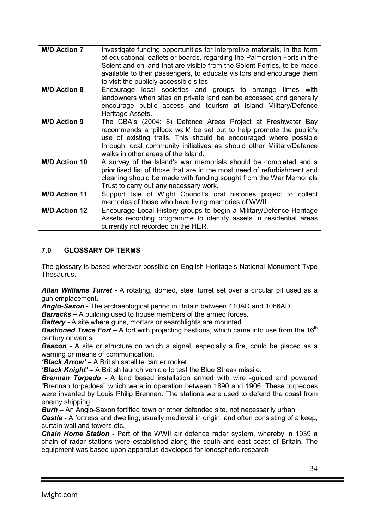| <b>M/D Action 7</b>  | Investigate funding opportunities for interpretive materials, in the form<br>of educational leaflets or boards, regarding the Palmerston Forts in the<br>Solent and on land that are visible from the Solent Ferries, to be made                                                                                      |
|----------------------|-----------------------------------------------------------------------------------------------------------------------------------------------------------------------------------------------------------------------------------------------------------------------------------------------------------------------|
|                      | available to their passengers, to educate visitors and encourage them<br>to visit the publicly accessible sites.                                                                                                                                                                                                      |
| <b>M/D Action 8</b>  | Encourage local societies and groups to arrange times with<br>landowners when sites on private land can be accessed and generally<br>encourage public access and tourism at Island Military/Defence<br>Heritage Assets.                                                                                               |
| <b>M/D Action 9</b>  | The CBA's (2004: 8) Defence Areas Project at Freshwater Bay<br>recommends a 'pillbox walk' be set out to help promote the public's<br>use of existing trails. This should be encouraged where possible<br>through local community initiatives as should other Military/Defence<br>walks in other areas of the Island. |
| <b>M/D Action 10</b> | A survey of the Island's war memorials should be completed and a<br>prioritised list of those that are in the most need of refurbishment and<br>cleaning should be made with funding sought from the War Memorials<br>Trust to carry out any necessary work.                                                          |
| <b>M/D Action 11</b> | Support Isle of Wight Council's oral histories project to collect<br>memories of those who have living memories of WWII                                                                                                                                                                                               |
| <b>M/D Action 12</b> | Encourage Local History groups to begin a Military/Defence Heritage<br>Assets recording programme to identify assets in residential areas<br>currently not recorded on the HER.                                                                                                                                       |

## 7.0 GLOSSARY OF TERMS

The glossary is based wherever possible on English Heritage's National Monument Type Thesaurus.

Allan Williams Turret - A rotating, domed, steel turret set over a circular pit used as a gun emplacement.

Anglo-Saxon - The archaeological period in Britain between 410AD and 1066AD.

**Barracks** – A building used to house members of the armed forces.

**Battery -** A site where guns, mortars or searchlights are mounted.

**Bastioned Trace Fort** – A fort with projecting bastions, which came into use from the 16<sup>th</sup> century onwards.

**Beacon** - A site or structure on which a signal, especially a fire, could be placed as a warning or means of communication.

'Black Arrow' – A British satellite carrier rocket.

**'Black Knight'** – A British launch vehicle to test the Blue Streak missile.

**Brennan Torpedo -** A land based installation armed with wire -guided and powered "Brennan torpedoes" which were in operation between 1890 and 1906. These torpedoes were invented by Louis Philip Brennan. The stations were used to defend the coast from enemy shipping.

Burh – An Anglo-Saxon fortified town or other defended site, not necessarily urban.

Castle - A fortress and dwelling, usually medieval in origin, and often consisting of a keep, curtain wall and towers etc.

Chain Home Station - Part of the WWII air defence radar system, whereby in 1939 a chain of radar stations were established along the south and east coast of Britain. The equipment was based upon apparatus developed for ionospheric research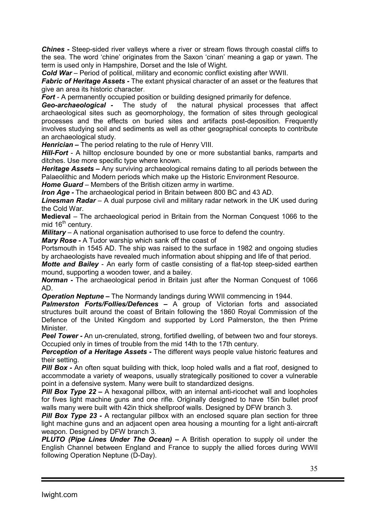Chines - Steep-sided river valleys where a river or stream flows through coastal cliffs to the sea. The word 'chine' originates from the Saxon 'cinan' meaning a gap or yawn. The term is used only in Hampshire, Dorset and the Isle of Wight.

Cold War – Period of political, military and economic conflict existing after WWII.

**Fabric of Heritage Assets -** The extant physical character of an asset or the features that give an area its historic character.

**Fort** - A permanently occupied position or building designed primarily for defence.

Geo-archaeological - The study of the natural physical processes that affect archaeological sites such as geomorphology, the formation of sites through geological processes and the effects on buried sites and artifacts post-deposition. Frequently involves studying soil and sediments as well as other geographical concepts to contribute an archaeological study.

Henrician – The period relating to the rule of Henry VIII.

Hill-Fort - A hilltop enclosure bounded by one or more substantial banks, ramparts and ditches. Use more specific type where known.

Heritage Assets – Any surviving archaeological remains dating to all periods between the Palaeolithic and Modern periods which make up the Historic Environment Resource.

**Home Guard** – Members of the British citizen army in wartime.

**Iron Age -** The archaeological period in Britain between 800 BC and 43 AD.

**Linesman Radar** – A dual purpose civil and military radar network in the UK used during the Cold War.

Medieval – The archaeological period in Britain from the Norman Conquest 1066 to the mid  $16<sup>th</sup>$  century.

Military *–* A national organisation authorised to use force to defend the country.

Mary Rose - A Tudor warship which sank off the coast of

Portsmouth in 1545 AD. The ship was raised to the surface in 1982 and ongoing studies by archaeologists have revealed much information about shipping and life of that period.

Motte and Bailey - An early form of castle consisting of a flat-top steep-sided earthen mound, supporting a wooden tower, and a bailey.

Norman - The archaeological period in Britain just after the Norman Conquest of 1066 AD.

Operation Neptune – The Normandy landings during WWII commencing in 1944.

Palmerston Forts/Follies/Defences - A group of Victorian forts and associated structures built around the coast of Britain following the 1860 Royal Commission of the Defence of the United Kingdom and supported by Lord Palmerston, the then Prime Minister.

Peel Tower - An un-crenulated, strong, fortified dwelling, of between two and four storeys. Occupied only in times of trouble from the mid 14th to the 17th century.

**Perception of a Heritage Assets - The different ways people value historic features and** their setting.

**Pill Box -** An often squat building with thick, loop holed walls and a flat roof, designed to accommodate a variety of weapons, usually strategically positioned to cover a vulnerable point in a defensive system. Many were built to standardized designs.

**Pill Box Type 22 –** A hexagonal pillbox, with an internal anti-ricochet wall and loopholes for fives light machine guns and one rifle. Originally designed to have 15in bullet proof walls many were built with 42in thick shellproof walls. Designed by DFW branch 3.

**Pill Box Type 23 -** A rectangular pillbox with an enclosed square plan section for three light machine guns and an adjacent open area housing a mounting for a light anti-aircraft weapon. Designed by DFW branch 3.

**PLUTO (Pipe Lines Under The Ocean)** – A British operation to supply oil under the English Channel between England and France to supply the allied forces during WWII following Operation Neptune (D-Day).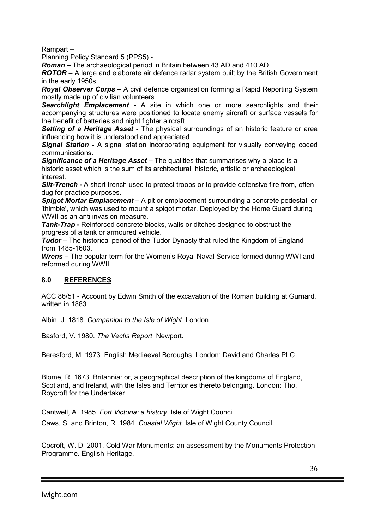Rampart –

Planning Policy Standard 5 (PPS5) -

Roman – The archaeological period in Britain between 43 AD and 410 AD.

ROTOR – A large and elaborate air defence radar system built by the British Government in the early 1950s.

Royal Observer Corps – A civil defence organisation forming a Rapid Reporting System mostly made up of civilian volunteers.

Searchlight Emplacement - A site in which one or more searchlights and their accompanying structures were positioned to locate enemy aircraft or surface vessels for the benefit of batteries and night fighter aircraft.

**Setting of a Heritage Asset -** The physical surroundings of an historic feature or area influencing how it is understood and appreciated.

Signal Station - A signal station incorporating equipment for visually conveying coded communications.

**Significance of a Heritage Asset –** The qualities that summarises why a place is a historic asset which is the sum of its architectural, historic, artistic or archaeological interest.

**Slit-Trench -** A short trench used to protect troops or to provide defensive fire from, often dug for practice purposes.

Spigot Mortar Emplacement – A pit or emplacement surrounding a concrete pedestal, or 'thimble', which was used to mount a spigot mortar. Deployed by the Home Guard during WWII as an anti invasion measure.

**Tank-Trap -** Reinforced concrete blocks, walls or ditches designed to obstruct the progress of a tank or armoured vehicle.

**Tudor** – The historical period of the Tudor Dynasty that ruled the Kingdom of England from 1485-1603.

Wrens – The popular term for the Women's Royal Naval Service formed during WWI and reformed during WWII.

## 8.0 REFERENCES

ACC 86/51 - Account by Edwin Smith of the excavation of the Roman building at Gurnard, written in 1883.

Albin, J. 1818. *Companion to the Isle of Wight*. London.

Basford, V. 1980. *The Vectis Report*. Newport.

Beresford, M. 1973. English Mediaeval Boroughs. London: David and Charles PLC.

Blome, R. 1673. Britannia: or, a geographical description of the kingdoms of England, Scotland, and Ireland, with the Isles and Territories thereto belonging. London: Tho. Roycroft for the Undertaker.

Cantwell, A. 1985. *Fort Victoria: a history*. Isle of Wight Council. Caws, S. and Brinton, R. 1984. *Coastal Wight*. Isle of Wight County Council.

Cocroft, W. D. 2001. Cold War Monuments: an assessment by the Monuments Protection Programme. English Heritage.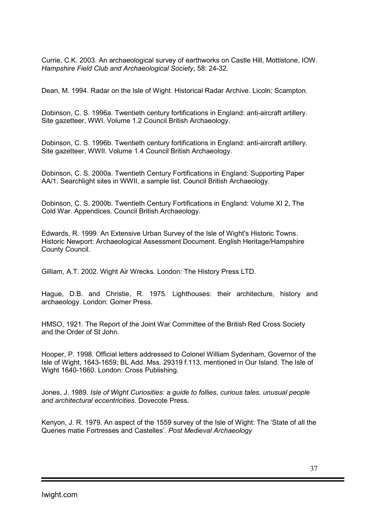Currie, C.K. 2003. An archaeological survey of earthworks on Castle Hill, Mottistone, IOW. *Hampshire Field Club and Archaeological Society*, 58: 24-32.

Dean, M. 1994. Radar on the Isle of Wight. Historical Radar Archive. Licoln: Scampton.

Dobinson, C. S. 1996a. Twentieth century fortifications in England: anti-aircraft artillery. Site gazetteer, WWI. Volume 1.2 Council British Archaeology.

Dobinson, C. S. 1996b. Twentieth century fortifications in England: anti-aircraft artillery. Site gazetteer, WWII. Volume 1.4 Council British Archaeology.

Dobinson, C. S. 2000a. Twentieth Century Fortifications in England: Supporting Paper AA/1. Searchlight sites in WWII, a sample list. Council British Archaeology.

Dobinson, C. S. 2000b. Twentieth Century Fortifications in England: Volume XI 2, The Cold War. Appendices. Council British Archaeology.

Edwards, R. 1999. An Extensive Urban Survey of the Isle of Wight's Historic Towns. Historic Newport: Archaeological Assessment Document. English Heritage/Hampshire County Council.

Gilliam, A.T. 2002. Wight Air Wrecks. London: The History Press LTD.

Hague, D.B. and Christie, R. 1975. Lighthouses: their architecture, history and archaeology. London: Gomer Press.

HMSO, 1921. The Report of the Joint War Committee of the British Red Cross Society and the Order of St John.

Hooper, P. 1998. Official letters addressed to Colonel William Sydenham, Governor of the Isle of Wight, 1643-1659; BL Add. Mss. 29319 f.113, mentioned in Our Island. The Isle of Wight 1640-1660. London: Cross Publishing.

Jones, J. 1989. *Isle of Wight Curiosities: a guide to follies, curious tales, unusual people and architectural eccentricities*. Dovecote Press.

Kenyon, J. R. 1979. An aspect of the 1559 survey of the Isle of Wight: The 'State of all the Quenes matie Fortresses and Castelles'. *Post Medieval Archaeology*